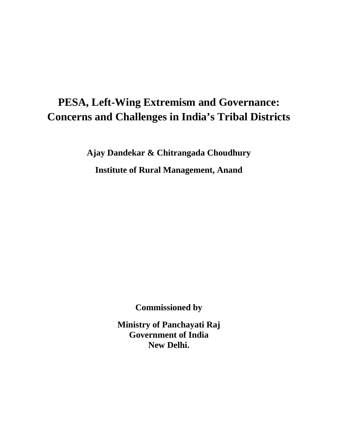# **PESA, Left-Wing Extremism and Governance: Concerns and Challenges in India's Tribal Districts**

**Ajay Dandekar & Chitrangada Choudhury Institute of Rural Management, Anand** 

**Commissioned by** 

**Ministry of Panchayati Raj Government of India New Delhi.**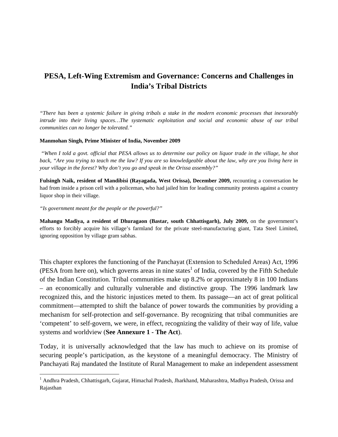# **PESA, Left-Wing Extremism and Governance: Concerns and Challenges in India's Tribal Districts**

*"There has been a systemic failure in giving tribals a stake in the modern economic processes that inexorably intrude into their living spaces…The systematic exploitation and social and economic abuse of our tribal communities can no longer be tolerated."* 

#### **Manmohan Singh, Prime Minister of India, November 2009**

 *"When I told a govt. official that PESA allows us to determine our policy on liquor trade in the village, he shot back, "Are you trying to teach me the law? If you are so knowledgeable about the law, why are you living here in your village in the forest? Why don't you go and speak in the Orissa assembly?"* 

**Fulsingh Naik, resident of Mandibisi (Rayagada, West Orissa), December 2009,** recounting a conversation he had from inside a prison cell with a policeman, who had jailed him for leading community protests against a country liquor shop in their village.

*"Is government meant for the people or the powerful?"* 

**Mahangu Madiya, a resident of Dhuragaon (Bastar, south Chhattisgarh), July 2009,** on the government's efforts to forcibly acquire his village's farmland for the private steel-manufacturing giant, Tata Steel Limited, ignoring opposition by village gram sabhas.

This chapter explores the functioning of the Panchayat (Extension to Scheduled Areas) Act, 1996 (PESA from here on), which governs areas in nine states<sup>1</sup> of India, covered by the Fifth Schedule of the Indian Constitution. Tribal communities make up 8.2% or approximately 8 in 100 Indians – an economically and culturally vulnerable and distinctive group. The 1996 landmark law recognized this, and the historic injustices meted to them. Its passage—an act of great political commitment—attempted to shift the balance of power towards the communities by providing a mechanism for self-protection and self-governance. By recognizing that tribal communities are 'competent' to self-govern, we were, in effect, recognizing the validity of their way of life, value systems and worldview (**See Annexure 1 - The Act**).

Today, it is universally acknowledged that the law has much to achieve on its promise of securing people's participation, as the keystone of a meaningful democracy. The Ministry of Panchayati Raj mandated the Institute of Rural Management to make an independent assessment

<sup>&</sup>lt;sup>1</sup> Andhra Pradesh, Chhattisgarh, Gujarat, Himachal Pradesh, Jharkhand, Maharashtra, Madhya Pradesh, Orissa and Rajasthan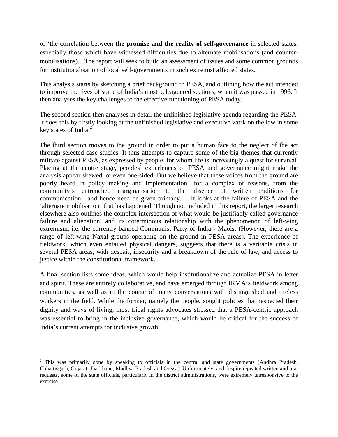of 'the correlation between **the promise and the reality of self-governance** in selected states, especially those which have witnessed difficulties due to alternate mobilisations (and countermobilisations)…The report will seek to build an assessment of issues and some common grounds for institutionalisation of local self-governments in such extremist affected states.'

This analysis starts by sketching a brief background to PESA, and outlining how the act intended to improve the lives of some of India's most beleaguered sections, when it was passed in 1996. It then analyses the key challenges to the effective functioning of PESA today.

The second section then analyses in detail the unfinished legislative agenda regarding the PESA. It does this by firstly looking at the unfinished legislative and executive work on the law in some key states of India. $2^2$ 

The third section moves to the ground in order to put a human face to the neglect of the act through selected case studies. It thus attempts to capture some of the big themes that currently militate against PESA, as expressed by people, for whom life is increasingly a quest for survival. Placing at the centre stage, peoples' experiences of PESA and governance might make the analysis appear skewed, or even one-sided. But we believe that these voices from the ground are poorly heard in policy making and implementation—for a complex of reasons, from the community's entrenched marginalisation to the absence of written traditions for communication—and hence need be given primacy. It looks at the failure of PESA and the 'alternate mobilisation' that has happened. Though not included in this report, the larger research elsewhere also outlines the complex intersection of what would be justifiably called governance failure and alienation, and its coterminous relationship with the phenomenon of left-wing extremism, i.e. the currently banned Communist Party of India - Maoist (However, there are a range of left-wing Naxal groups operating on the ground in PESA areas). The experience of fieldwork, which even entailed physical dangers, suggests that there is a veritable crisis in several PESA areas, with despair, insecurity and a breakdown of the rule of law, and access to justice within the constitutional framework.

A final section lists some ideas, which would help institutionalize and actualize PESA in letter and spirit. These are entirely collaborative, and have emerged through IRMA's fieldwork among communities, as well as in the course of many conversations with distinguished and tireless workers in the field. While the former, namely the people, sought policies that respected their dignity and ways of living, most tribal rights advocates stressed that a PESA-centric approach was essential to bring in the inclusive governance, which would be critical for the success of India's current attempts for inclusive growth.

 $2$  This was primarily done by speaking to officials in the central and state governments (Andhra Pradesh, Chhattisgarh, Gujarat, Jharkhand, Madhya Pradesh and Orissa). Unfortunately, and despite repeated written and oral requests, some of the state officials, particularly in the district administrations, were extremely unresponsive to the exercise.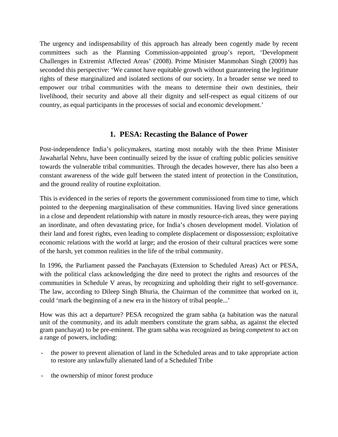The urgency and indispensability of this approach has already been cogently made by recent committees such as the Planning Commission-appointed group's report, 'Development Challenges in Extremist Affected Areas' (2008). Prime Minister Manmohan Singh (2009) has seconded this perspective: 'We cannot have equitable growth without guaranteeing the legitimate rights of these marginalized and isolated sections of our society. In a broader sense we need to empower our tribal communities with the means to determine their own destinies, their livelihood, their security and above all their dignity and self-respect as equal citizens of our country, as equal participants in the processes of social and economic development.'

# **1. PESA: Recasting the Balance of Power**

Post-independence India's policymakers, starting most notably with the then Prime Minister Jawaharlal Nehru, have been continually seized by the issue of crafting public policies sensitive towards the vulnerable tribal communities. Through the decades however, there has also been a constant awareness of the wide gulf between the stated intent of protection in the Constitution, and the ground reality of routine exploitation.

This is evidenced in the series of reports the government commissioned from time to time, which pointed to the deepening marginalisation of these communities. Having lived since generations in a close and dependent relationship with nature in mostly resource-rich areas, they were paying an inordinate, and often devastating price, for India's chosen development model. Violation of their land and forest rights, even leading to complete displacement or dispossession; exploitative economic relations with the world at large; and the erosion of their cultural practices were some of the harsh, yet common realities in the life of the tribal community.

In 1996, the Parliament passed the Panchayats (Extension to Scheduled Areas) Act or PESA, with the political class acknowledging the dire need to protect the rights and resources of the communities in Schedule V areas, by recognizing and upholding their right to self-governance. The law, according to Dileep Singh Bhuria, the Chairman of the committee that worked on it, could 'mark the beginning of a new era in the history of tribal people...'

How was this act a departure? PESA recognized the gram sabha (a habitation was the natural unit of the community, and its adult members constitute the gram sabha, as against the elected gram panchayat) to be pre-eminent. The gram sabha was recognized as being *competent* to act on a range of powers, including:

- the power to prevent alienation of land in the Scheduled areas and to take appropriate action to restore any unlawfully alienated land of a Scheduled Tribe
- the ownership of minor forest produce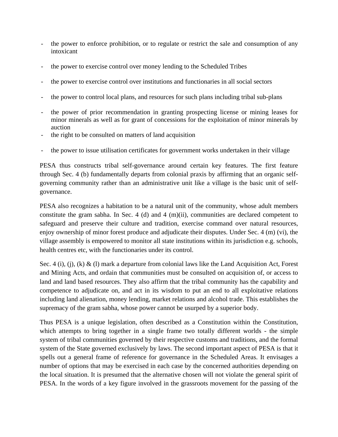- the power to enforce prohibition, or to regulate or restrict the sale and consumption of any intoxicant
- the power to exercise control over money lending to the Scheduled Tribes
- the power to exercise control over institutions and functionaries in all social sectors
- the power to control local plans, and resources for such plans including tribal sub-plans
- the power of prior recommendation in granting prospecting license or mining leases for minor minerals as well as for grant of concessions for the exploitation of minor minerals by auction
- the right to be consulted on matters of land acquisition
- the power to issue utilisation certificates for government works undertaken in their village

PESA thus constructs tribal self-governance around certain key features. The first feature through Sec. 4 (b) fundamentally departs from colonial praxis by affirming that an organic selfgoverning community rather than an administrative unit like a village is the basic unit of selfgovernance.

PESA also recognizes a habitation to be a natural unit of the community, whose adult members constitute the gram sabha. In Sec. 4 (d) and 4 (m)(ii), communities are declared competent to safeguard and preserve their culture and tradition, exercise command over natural resources, enjoy ownership of minor forest produce and adjudicate their disputes. Under Sec. 4 (m) (vi), the village assembly is empowered to monitor all state institutions within its jurisdiction e.g. schools, health centres etc, with the functionaries under its control.

Sec. 4 (i), (j), (k) & (l) mark a departure from colonial laws like the Land Acquisition Act, Forest and Mining Acts, and ordain that communities must be consulted on acquisition of, or access to land and land based resources. They also affirm that the tribal community has the capability and competence to adjudicate on, and act in its wisdom to put an end to all exploitative relations including land alienation, money lending, market relations and alcohol trade. This establishes the supremacy of the gram sabha, whose power cannot be usurped by a superior body.

Thus PESA is a unique legislation, often described as a Constitution within the Constitution, which attempts to bring together in a single frame two totally different worlds - the simple system of tribal communities governed by their respective customs and traditions, and the formal system of the State governed exclusively by laws. The second important aspect of PESA is that it spells out a general frame of reference for governance in the Scheduled Areas. It envisages a number of options that may be exercised in each case by the concerned authorities depending on the local situation. It is presumed that the alternative chosen will not violate the general spirit of PESA. In the words of a key figure involved in the grassroots movement for the passing of the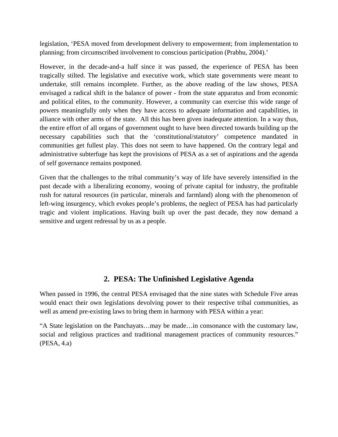legislation, 'PESA moved from development delivery to empowerment; from implementation to planning; from circumscribed involvement to conscious participation (Prabhu, 2004).'

However, in the decade-and-a half since it was passed, the experience of PESA has been tragically stilted. The legislative and executive work, which state governments were meant to undertake, still remains incomplete. Further, as the above reading of the law shows, PESA envisaged a radical shift in the balance of power - from the state apparatus and from economic and political elites, to the community. However, a community can exercise this wide range of powers meaningfully only when they have access to adequate information and capabilities, in alliance with other arms of the state. All this has been given inadequate attention. In a way thus, the entire effort of all organs of government ought to have been directed towards building up the necessary capabilities such that the 'constitutional/statutory' competence mandated in communities get fullest play. This does not seem to have happened. On the contrary legal and administrative subterfuge has kept the provisions of PESA as a set of aspirations and the agenda of self governance remains postponed.

Given that the challenges to the tribal community's way of life have severely intensified in the past decade with a liberalizing economy, wooing of private capital for industry, the profitable rush for natural resources (in particular, minerals and farmland) along with the phenomenon of left-wing insurgency, which evokes people's problems, the neglect of PESA has had particularly tragic and violent implications. Having built up over the past decade, they now demand a sensitive and urgent redressal by us as a people.

# **2. PESA: The Unfinished Legislative Agenda**

When passed in 1996, the central PESA envisaged that the nine states with Schedule Five areas would enact their own legislations devolving power to their respective tribal communities, as well as amend pre-existing laws to bring them in harmony with PESA within a year:

"A State legislation on the Panchayats…may be made…in consonance with the customary law, social and religious practices and traditional management practices of community resources." (PESA, 4.a)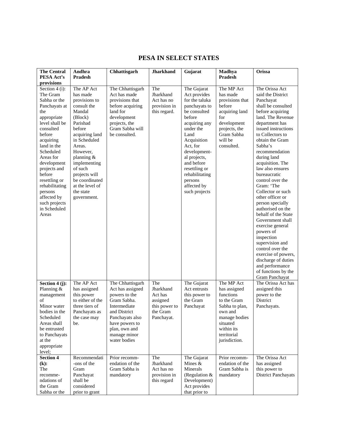# **PESA IN SELECT STATES**

| <b>The Central</b>                                                                                                                                                                                                                                                                                                                             | Andhra                                                                                                                                                                                                                                                                               | Chhattisgarh                                                                                                                                                                               | <b>Jharkhand</b>                                                                   | Gujarat                                                                                                                                                                                                                                                                               | Madhya                                                                                                                                                         | Orissa                                                                                                                                                                                                                                                                                                                                                                                                                                                                                                                                                                                                                                                             |
|------------------------------------------------------------------------------------------------------------------------------------------------------------------------------------------------------------------------------------------------------------------------------------------------------------------------------------------------|--------------------------------------------------------------------------------------------------------------------------------------------------------------------------------------------------------------------------------------------------------------------------------------|--------------------------------------------------------------------------------------------------------------------------------------------------------------------------------------------|------------------------------------------------------------------------------------|---------------------------------------------------------------------------------------------------------------------------------------------------------------------------------------------------------------------------------------------------------------------------------------|----------------------------------------------------------------------------------------------------------------------------------------------------------------|--------------------------------------------------------------------------------------------------------------------------------------------------------------------------------------------------------------------------------------------------------------------------------------------------------------------------------------------------------------------------------------------------------------------------------------------------------------------------------------------------------------------------------------------------------------------------------------------------------------------------------------------------------------------|
| PESA Act's                                                                                                                                                                                                                                                                                                                                     | <b>Pradesh</b>                                                                                                                                                                                                                                                                       |                                                                                                                                                                                            |                                                                                    |                                                                                                                                                                                                                                                                                       | Pradesh                                                                                                                                                        |                                                                                                                                                                                                                                                                                                                                                                                                                                                                                                                                                                                                                                                                    |
| provisions<br>Section 4 (i):<br>The Gram<br>Sabha or the<br>Panchayats at<br>the<br>appropriate<br>level shall be<br>consulted<br>before<br>acquiring<br>land in the<br>Scheduled<br>Areas for<br>development<br>projects and<br>before<br>resettling or<br>rehabilitating<br>persons<br>affected by<br>such projects<br>in Scheduled<br>Areas | The AP Act<br>has made<br>provisions to<br>consult the<br>Mandal<br>(Block)<br>Parishad<br>before<br>acquiring land<br>in Scheduled<br>Areas.<br>However,<br>planning &<br>implementing<br>of such<br>projects will<br>be coordinated<br>at the level of<br>the state<br>government. | The Chhattisgarh<br>Act has made<br>provisions that<br>before acquiring<br>land for<br>development<br>projects, the<br>Gram Sabha will<br>be consulted.                                    | The<br>Jharkhand<br>Act has no<br>provision in<br>this regard.                     | The Gujarat<br>Act provides<br>for the taluka<br>panchayats to<br>be consulted<br>before<br>acquiring any<br>under the<br>Land<br>Acquisition<br>Act, for<br>development-<br>al projects,<br>and before<br>resettling or<br>rehabilitating<br>persons<br>affected by<br>such projects | The MP Act<br>has made<br>provisions that<br>before<br>acquiring land<br>for<br>development<br>projects, the<br>Gram Sabha<br>will be<br>consulted.            | The Orissa Act<br>said the District<br>Panchayat<br>shall be consulted<br>before acquiring<br>land. The Revenue<br>department has<br>issued instructions<br>to Collectors to<br>obtain the Gram<br>Sabha's<br>recommendation<br>during land<br>acquisition. The<br>law also ensures<br>bureaucratic<br>control over the<br>Gram: 'The<br>Collector or such<br>other officer or<br>person specially<br>authorised on the<br>behalf of the State<br>Government shall<br>exercise general<br>powers of<br>inspection<br>supervision and<br>control over the<br>exercise of powers,<br>discharge of duties<br>and performance<br>of functions by the<br>Gram Panchayat |
| Section 4 (j):<br>Planning &<br>management<br>of<br>Minor water<br>bodies in the<br>Scheduled<br>Areas shall<br>be entrusted<br>to Panchayats<br>at the<br>appropriate<br>level;                                                                                                                                                               | The AP Act<br>has assigned<br>this power<br>to either of the<br>three tiers of<br>Panchayats as<br>the case may<br>be.                                                                                                                                                               | The Chhattisgarh<br>Act has assigned<br>powers to the<br>Gram Sabha.<br>Intermediate<br>and District<br>Panchayats also<br>have powers to<br>plan, own and<br>manage minor<br>water bodies | The<br>Jharkhand<br>Act has<br>assigned<br>this power to<br>the Gram<br>Panchayat. | The Gujarat<br>Act entrusts<br>this power to<br>the Gram<br>Panchayat                                                                                                                                                                                                                 | The MP Act<br>has assigned<br>functions<br>to the Gram<br>Sabha to plan,<br>own and<br>manage bodies<br>situated<br>within its<br>territorial<br>jurisdiction. | The Orissa Act has<br>assigned this<br>power to the<br>District<br>Panchayats.                                                                                                                                                                                                                                                                                                                                                                                                                                                                                                                                                                                     |
| <b>Section 4</b><br>(k):<br>The<br>recomme-<br>ndations of<br>the Gram<br>Sabha or the                                                                                                                                                                                                                                                         | Recommendati<br>-ons of the<br>Gram<br>Panchayat<br>shall be<br>considered<br>prior to grant                                                                                                                                                                                         | Prior recomm-<br>endation of the<br>Gram Sabha is<br>mandatory                                                                                                                             | The<br>Jharkhand<br>Act has no<br>provision in<br>this regard                      | The Gujarat<br>Mines $&$<br>Minerals<br>(Regulation &<br>Development)<br>Act provides<br>that prior to                                                                                                                                                                                | Prior recomm-<br>endation of the<br>Gram Sabha is<br>mandatory                                                                                                 | The Orissa Act<br>has assigned<br>this power to<br><b>District Panchayats</b>                                                                                                                                                                                                                                                                                                                                                                                                                                                                                                                                                                                      |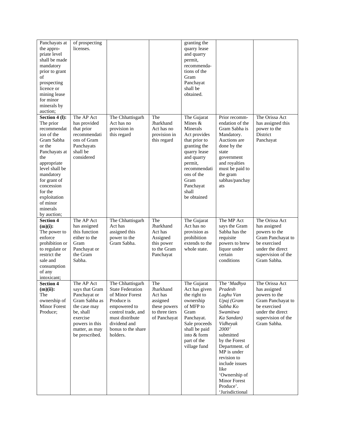| Panchayats at<br>the appro-<br>priate level<br>shall be made<br>mandatory<br>prior to grant<br>of<br>prospecting<br>licence or<br>mining lease<br>for minor<br>minerals by<br>auction;                                                                 | of prospecting<br>licenses.                                                                                                                                  |                                                                                                                                                                                         |                                                                                           | granting the<br>quarry lease<br>and quarry<br>permit,<br>recommenda-<br>tions of the<br>Gram<br>Panchayat<br>shall be<br>obtained.                                                                        |                                                                                                                                                                                                                                                                                              |                                                                                                                                               |
|--------------------------------------------------------------------------------------------------------------------------------------------------------------------------------------------------------------------------------------------------------|--------------------------------------------------------------------------------------------------------------------------------------------------------------|-----------------------------------------------------------------------------------------------------------------------------------------------------------------------------------------|-------------------------------------------------------------------------------------------|-----------------------------------------------------------------------------------------------------------------------------------------------------------------------------------------------------------|----------------------------------------------------------------------------------------------------------------------------------------------------------------------------------------------------------------------------------------------------------------------------------------------|-----------------------------------------------------------------------------------------------------------------------------------------------|
| Section 4 (l):<br>The prior<br>recommendat<br>ion of the<br>Gram Sabha<br>or the<br>Panchayats at<br>the<br>appropriate<br>level shall be<br>mandatory<br>for grant of<br>concession<br>for the<br>exploitation<br>of minor<br>minerals<br>by auction; | The AP Act<br>has provided<br>that prior<br>recommendati<br>ons of Gram<br>Panchayats<br>shall be<br>considered                                              | The Chhattisgarh<br>Act has no<br>provision in<br>this regard                                                                                                                           | The<br>Jharkhand<br>Act has no<br>provision in<br>this regard                             | The Gujarat<br>Mines $&$<br>Minerals<br>Act provides<br>that prior to<br>granting the<br>quarry lease<br>and quarry<br>permit,<br>recommendati<br>ons of the<br>Gram<br>Panchayat<br>shall<br>be obtained | Prior recomm-<br>endation of the<br>Gram Sabha is<br>Mandatory.<br>Auctions are<br>done by the<br>state<br>government<br>and royalties<br>must be paid to<br>the gram<br>sabhas/panchay<br>ats                                                                                               | The Orissa Act<br>has assigned this<br>power to the<br>District<br>Panchayat                                                                  |
| <b>Section 4</b><br>$(m)(i)$ :<br>The power to<br>enforce<br>prohibition or<br>to regulate or<br>restrict the<br>sale and<br>consumption<br>of any<br>intoxicant;                                                                                      | The AP Act<br>has assigned<br>this function<br>either to the<br>Gram<br>Panchayat or<br>the Gram<br>Sabha.                                                   | The Chhattisgarh<br>Act has<br>assigned this<br>power to the<br>Gram Sabha.                                                                                                             | The<br>Jharkhand<br>Act has<br>Assigned<br>this power<br>to the Gram<br>Panchayat         | The Gujarat<br>Act has no<br>provision as<br>prohibition<br>extends to the<br>whole state.                                                                                                                | The MP Act<br>says the Gram<br>Sabha has the<br>requisite<br>powers to brew<br>liquor under<br>certain<br>conditions                                                                                                                                                                         | The Orissa Act<br>has assigned<br>powers to the<br>Gram Panchayat to<br>be exercised<br>under the direct<br>supervision of the<br>Gram Sabha. |
| <b>Section 4</b><br>$(m)(ii)$ :<br>The<br>ownership of<br>Minor Forest<br>Produce;                                                                                                                                                                     | The AP Act<br>says that Gram<br>Panchayat or<br>Gram Sabha as<br>the case may<br>be, shall<br>exercise<br>powers in this<br>matter, as may<br>be prescribed. | The Chhattisgarh<br><b>State Federation</b><br>of Minor Forest<br>Produce is<br>empowered to<br>control trade, and<br>must distribute<br>dividend and<br>bonus to the share<br>holders. | The<br>Jharkhand<br>Act has<br>assigned<br>these powers<br>to three tiers<br>of Panchayat | The Gujarat<br>Act has given<br>the right to<br>ownership<br>of MFP to<br>Gram<br>Panchayat.<br>Sale proceeds<br>shall be paid<br>into & form<br>part of the<br>village fund                              | The 'Madhya<br>Pradesh<br>Laghu Van<br>Upaj (Gram<br>Sabha Ko<br>Swamitwa<br>Ka Sandan)<br>Vidheyak<br>2000'<br>submitted<br>by the Forest<br>Department. of<br>MP is under<br>revision to<br>include issues<br>like<br>'Ownership of<br><b>Minor Forest</b><br>Produce'.<br>'Jurisdictional | The Orissa Act<br>has assigned<br>powers to the<br>Gram Panchayat to<br>be exercised<br>under the direct<br>supervision of the<br>Gram Sabha. |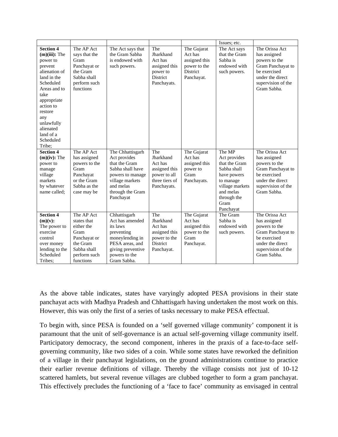|                                                                                                                                                                                                                                               |                                                                                                                         |                                                                                                                                                            |                                                                                               |                                                                                   | Issues; etc.                                                                                                                                           |                                                                                                                                               |
|-----------------------------------------------------------------------------------------------------------------------------------------------------------------------------------------------------------------------------------------------|-------------------------------------------------------------------------------------------------------------------------|------------------------------------------------------------------------------------------------------------------------------------------------------------|-----------------------------------------------------------------------------------------------|-----------------------------------------------------------------------------------|--------------------------------------------------------------------------------------------------------------------------------------------------------|-----------------------------------------------------------------------------------------------------------------------------------------------|
| <b>Section 4</b><br>$(m)(iii)$ : The<br>power to<br>prevent<br>alienation of<br>land in the<br>Scheduled<br>Areas and to<br>take<br>appropriate<br>action to<br>restore<br>any<br>unlawfully<br>alienated<br>land of a<br>Scheduled<br>Tribe; | The AP Act<br>says that the<br>Gram<br>Panchayat or<br>the Gram<br>Sabha shall<br>perform such<br>functions             | The Act says that<br>the Gram Sabha<br>is endowed with<br>such powers.                                                                                     | The<br>Jharkhand<br>Act has<br>assigned this<br>power to<br>District<br>Panchayats.           | The Gujarat<br>Act has<br>assigned this<br>power to the<br>District<br>Panchayat. | The Act says<br>that the Gram<br>Sabha is<br>endowed with<br>such powers.                                                                              | The Orissa Act<br>has assigned<br>powers to the<br>Gram Panchayat to<br>be exercised<br>under the direct<br>supervision of the<br>Gram Sabha. |
| <b>Section 4</b><br>$(m)(iv)$ : The<br>power to<br>manage<br>village<br>markets<br>by whatever<br>name called;                                                                                                                                | The AP Act<br>has assigned<br>powers to the<br>Gram<br>Panchayat<br>or the Gram<br>Sabha as the<br>case may be          | The Chhattisgarh<br>Act provides<br>that the Gram<br>Sabha shall have<br>powers to manage<br>village markets<br>and melas<br>through the Gram<br>Panchayat | The<br>Jharkhand<br>Act has<br>assigned this<br>power to all<br>three tiers of<br>Panchayats. | The Gujarat<br>Act has<br>assigned this<br>power to<br>Gram<br>Panchayats.        | The MP<br>Act provides<br>that the Gram<br>Sabha shall<br>have powers<br>to manage<br>village markets<br>and melas<br>through the<br>Gram<br>Panchayat | The Orissa Act<br>has assigned<br>powers to the<br>Gram Panchayat to<br>be exercised<br>under the direct<br>supervision of the<br>Gram Sabha. |
| <b>Section 4</b><br>(m)(v):<br>The power to<br>exercise<br>control<br>over money<br>lending to the<br>Scheduled<br>Tribes;                                                                                                                    | The AP Act<br>states that<br>either the<br>Gram<br>Panchayat or<br>the Gram<br>Sabha shall<br>perform such<br>functions | Chhattisgarh<br>Act has amended<br>its laws<br>preventing<br>moneylending in<br>PESA areas, and<br>giving preventive<br>powers to the<br>Gram Sabha.       | The<br>Jharkhand<br>Act has<br>assigned this<br>power to the<br>District<br>Panchayat.        | The Gujarat<br>Act has<br>assigned this<br>power to the<br>Gram<br>Panchayat.     | The Gram<br>Sabha is<br>endowed with<br>such powers.                                                                                                   | The Orissa Act<br>has assigned<br>powers to the<br>Gram Panchayat to<br>be exercised<br>under the direct<br>supervision of the<br>Gram Sabha. |

As the above table indicates, states have varyingly adopted PESA provisions in their state panchayat acts with Madhya Pradesh and Chhattisgarh having undertaken the most work on this. However, this was only the first of a series of tasks necessary to make PESA effectual.

To begin with, since PESA is founded on a 'self governed village community' component it is paramount that the unit of self-governance is an actual self-governing village community itself. Participatory democracy, the second component, inheres in the praxis of a face-to-face selfgoverning community, like two sides of a coin. While some states have reworked the definition of a village in their panchayat legislations, on the ground administrations continue to practice their earlier revenue definitions of village. Thereby the village consists not just of 10-12 scattered hamlets, but several revenue villages are clubbed together to form a gram panchayat. This effectively precludes the functioning of a 'face to face' community as envisaged in central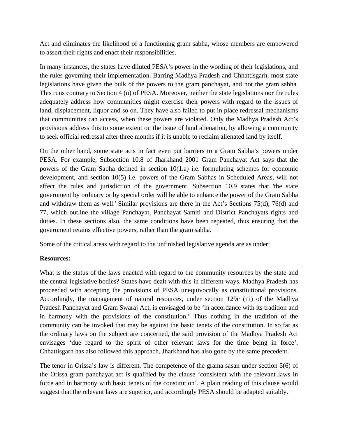Act and eliminates the likelihood of a functioning gram sabha, whose members are empowered to assert their rights and enact their responsibilities.

In many instances, the states have diluted PESA's power in the wording of their legislations, and the rules governing their implementation. Barring Madhya Pradesh and Chhattisgarh, most state legislations have given the bulk of the powers to the gram panchayat, and not the gram sabha. This runs contrary to Section 4 (n) of PESA. Moreover, neither the state legislations nor the rules adequately address how communities might exercise their powers with regard to the issues of land, displacement, liquor and so on. They have also failed to put in place redressal mechanisms that communities can access, when these powers are violated. Only the Madhya Pradesh Act's provisions address this to some extent on the issue of land alienation, by allowing a community to seek official redressal after three months if it is unable to reclaim alienated land by itself.

On the other hand, some state acts in fact even put barriers to a Gram Sabha's powers under PESA. For example, Subsection 10.8 of Jharkhand 2001 Gram Panchayat Act says that the powers of the Gram Sabha defined in section 10(1.a) i.e. formulating schemes for economic development, and section 10(5) i.e. powers of the Gram Sabhas in Scheduled Areas, will not affect the rules and jurisdiction of the government. Subsection 10.9 states that 'the state government by ordinary or by special order will be able to enhance the power of the Gram Sabha and withdraw them as well.' Similar provisions are there in the Act's Sections 75(d), 76(d) and 77, which outline the village Panchayat, Panchayat Samiti and District Panchayats rights and duties. In these sections also, the same conditions have been repeated, thus ensuring that the government retains effective powers, rather than the gram sabha.

Some of the critical areas with regard to the unfinished legislative agenda are as under:

## **Resources:**

What is the status of the laws enacted with regard to the community resources by the state and the central legislative bodies? States have dealt with this in different ways. Madhya Pradesh has proceeded with accepting the provisions of PESA unequivocally as constitutional provisions. Accordingly, the management of natural resources, under section 129c (iii) of the Madhya Pradesh Panchayat and Gram Swaraj Act, is envisaged to be 'in accordance with its tradition and in harmony with the provisions of the constitution.' Thus nothing in the tradition of the community can be invoked that may be against the basic tenets of the constitution. In so far as the ordinary laws on the subject are concerned, the said provision of the Madhya Pradesh Act envisages 'due regard to the spirit of other relevant laws for the time being in force'. Chhattisgarh has also followed this approach. Jharkhand has also gone by the same precedent.

The tenor in Orissa's law is different. The competence of the grama sasan under section 5(6) of the Orissa gram panchayat act is qualified by the clause 'consistent with the relevant laws in force and in harmony with basic tenets of the constitution'. A plain reading of this clause would suggest that the relevant laws are superior, and accordingly PESA should be adapted suitably.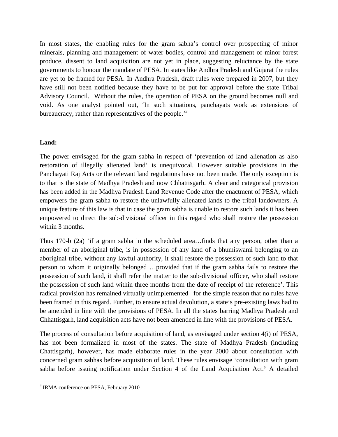In most states, the enabling rules for the gram sabha's control over prospecting of minor minerals, planning and management of water bodies, control and management of minor forest produce, dissent to land acquisition are not yet in place, suggesting reluctance by the state governments to honour the mandate of PESA. In states like Andhra Pradesh and Gujarat the rules are yet to be framed for PESA. In Andhra Pradesh, draft rules were prepared in 2007, but they have still not been notified because they have to be put for approval before the state Tribal Advisory Council. Without the rules, the operation of PESA on the ground becomes null and void. As one analyst pointed out, 'In such situations, panchayats work as extensions of bureaucracy, rather than representatives of the people.<sup>3</sup>

## **Land:**

The power envisaged for the gram sabha in respect of 'prevention of land alienation as also restoration of illegally alienated land' is unequivocal. However suitable provisions in the Panchayati Raj Acts or the relevant land regulations have not been made. The only exception is to that is the state of Madhya Pradesh and now Chhattisgarh. A clear and categorical provision has been added in the Madhya Pradesh Land Revenue Code after the enactment of PESA, which empowers the gram sabha to restore the unlawfully alienated lands to the tribal landowners. A unique feature of this law is that in case the gram sabha is unable to restore such lands it has been empowered to direct the sub-divisional officer in this regard who shall restore the possession within 3 months.

Thus 170-b (2a) 'if a gram sabha in the scheduled area...finds that any person, other than a member of an aboriginal tribe, is in possession of any land of a bhumiswami belonging to an aboriginal tribe, without any lawful authority, it shall restore the possession of such land to that person to whom it originally belonged …provided that if the gram sabha fails to restore the possession of such land, it shall refer the matter to the sub-divisional officer, who shall restore the possession of such land within three months from the date of receipt of the reference'. This radical provision has remained virtually unimplemented for the simple reason that no rules have been framed in this regard. Further, to ensure actual devolution, a state's pre-existing laws had to be amended in line with the provisions of PESA. In all the states barring Madhya Pradesh and Chhattisgarh, land acquisition acts have not been amended in line with the provisions of PESA.

The process of consultation before acquisition of land, as envisaged under section 4(i) of PESA, has not been formalized in most of the states. The state of Madhya Pradesh (including Chattisgarh), however, has made elaborate rules in the year 2000 about consultation with concerned gram sabhas before acquisition of land. These rules envisage 'consultation with gram sabha before issuing notification under Section 4 of the Land Acquisition Act.**'** A detailed

<sup>&</sup>lt;sup>3</sup> IRMA conference on PESA, February 2010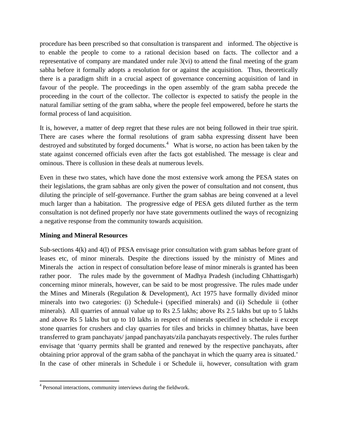procedure has been prescribed so that consultation is transparent and informed. The objective is to enable the people to come to a rational decision based on facts. The collector and a representative of company are mandated under rule 3(vi) to attend the final meeting of the gram sabha before it formally adopts a resolution for or against the acquisition. Thus, theoretically there is a paradigm shift in a crucial aspect of governance concerning acquisition of land in favour of the people. The proceedings in the open assembly of the gram sabha precede the proceeding in the court of the collector. The collector is expected to satisfy the people in the natural familiar setting of the gram sabha, where the people feel empowered, before he starts the formal process of land acquisition.

It is, however, a matter of deep regret that these rules are not being followed in their true spirit. There are cases where the formal resolutions of gram sabha expressing dissent have been destroyed and substituted by forged documents.<sup>4</sup> What is worse, no action has been taken by the state against concerned officials even after the facts got established. The message is clear and ominous. There is collusion in these deals at numerous levels.

Even in these two states, which have done the most extensive work among the PESA states on their legislations, the gram sabhas are only given the power of consultation and not consent, thus diluting the principle of self-governance. Further the gram sabhas are being convened at a level much larger than a habitation. The progressive edge of PESA gets diluted further as the term consultation is not defined properly nor have state governments outlined the ways of recognizing a negative response from the community towards acquisition.

#### **Mining and Mineral Resources**

Sub-sections 4(k) and 4(l) of PESA envisage prior consultation with gram sabhas before grant of leases etc, of minor minerals. Despite the directions issued by the ministry of Mines and Minerals the action in respect of consultation before lease of minor minerals is granted has been rather poor. The rules made by the government of Madhya Pradesh (including Chhattisgarh) concerning minor minerals, however, can be said to be most progressive. The rules made under the Mines and Minerals (Regulation & Development), Act 1975 have formally divided minor minerals into two categories: (i) Schedule-i (specified minerals) and (ii) Schedule ii (other minerals). All quarries of annual value up to Rs 2.5 lakhs; above Rs 2.5 lakhs but up to 5 lakhs and above Rs 5 lakhs but up to 10 lakhs in respect of minerals specified in schedule ii except stone quarries for crushers and clay quarries for tiles and bricks in chimney bhattas, have been transferred to gram panchayats/ janpad panchayats/zila panchayats respectively. The rules further envisage that 'quarry permits shall be granted and renewed by the respective panchayats, after obtaining prior approval of the gram sabha of the panchayat in which the quarry area is situated.' In the case of other minerals in Schedule i or Schedule ii, however, consultation with gram

<sup>4</sup> Personal interactions, community interviews during the fieldwork.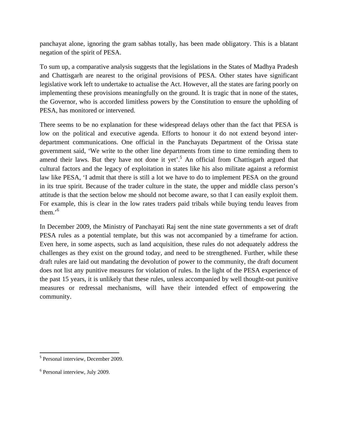panchayat alone, ignoring the gram sabhas totally, has been made obligatory. This is a blatant negation of the spirit of PESA.

To sum up, a comparative analysis suggests that the legislations in the States of Madhya Pradesh and Chattisgarh are nearest to the original provisions of PESA. Other states have significant legislative work left to undertake to actualise the Act. However, all the states are faring poorly on implementing these provisions meaningfully on the ground. It is tragic that in none of the states, the Governor, who is accorded limitless powers by the Constitution to ensure the upholding of PESA, has monitored or intervened.

There seems to be no explanation for these widespread delays other than the fact that PESA is low on the political and executive agenda. Efforts to honour it do not extend beyond interdepartment communications. One official in the Panchayats Department of the Orissa state government said, 'We write to the other line departments from time to time reminding them to amend their laws. But they have not done it yet'.<sup>5</sup> An official from Chattisgarh argued that cultural factors and the legacy of exploitation in states like his also militate against a reformist law like PESA, 'I admit that there is still a lot we have to do to implement PESA on the ground in its true spirit. Because of the trader culture in the state, the upper and middle class person's attitude is that the section below me should not become aware, so that I can easily exploit them. For example, this is clear in the low rates traders paid tribals while buying tendu leaves from them.'<sup>6</sup>

In December 2009, the Ministry of Panchayati Raj sent the nine state governments a set of draft PESA rules as a potential template, but this was not accompanied by a timeframe for action. Even here, in some aspects, such as land acquisition, these rules do not adequately address the challenges as they exist on the ground today, and need to be strengthened. Further, while these draft rules are laid out mandating the devolution of power to the community, the draft document does not list any punitive measures for violation of rules. In the light of the PESA experience of the past 15 years, it is unlikely that these rules, unless accompanied by well thought-out punitive measures or redressal mechanisms, will have their intended effect of empowering the community.

 <sup>5</sup> Personal interview, December 2009.

<sup>6</sup> Personal interview, July 2009.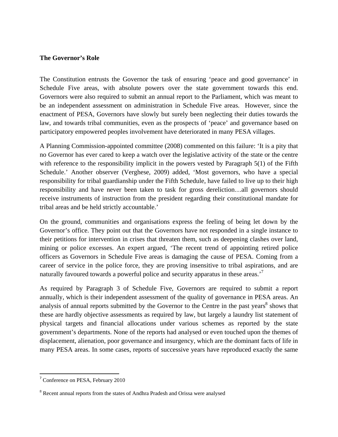#### **The Governor's Role**

The Constitution entrusts the Governor the task of ensuring 'peace and good governance' in Schedule Five areas, with absolute powers over the state government towards this end. Governors were also required to submit an annual report to the Parliament, which was meant to be an independent assessment on administration in Schedule Five areas. However, since the enactment of PESA, Governors have slowly but surely been neglecting their duties towards the law, and towards tribal communities, even as the prospects of 'peace' and governance based on participatory empowered peoples involvement have deteriorated in many PESA villages.

A Planning Commission-appointed committee (2008) commented on this failure: 'It is a pity that no Governor has ever cared to keep a watch over the legislative activity of the state or the centre with reference to the responsibility implicit in the powers vested by Paragraph 5(1) of the Fifth Schedule.' Another observer (Verghese, 2009) added, 'Most governors, who have a special responsibility for tribal guardianship under the Fifth Schedule, have failed to live up to their high responsibility and have never been taken to task for gross dereliction…all governors should receive instruments of instruction from the president regarding their constitutional mandate for tribal areas and be held strictly accountable.'

On the ground, communities and organisations express the feeling of being let down by the Governor's office. They point out that the Governors have not responded in a single instance to their petitions for intervention in crises that threaten them, such as deepening clashes over land, mining or police excesses. An expert argued, 'The recent trend of appointing retired police officers as Governors in Schedule Five areas is damaging the cause of PESA. Coming from a career of service in the police force, they are proving insensitive to tribal aspirations, and are naturally favoured towards a powerful police and security apparatus in these areas.<sup>7</sup>

As required by Paragraph 3 of Schedule Five, Governors are required to submit a report annually, which is their independent assessment of the quality of governance in PESA areas. An analysis of annual reports submitted by the Governor to the Centre in the past years<sup>8</sup> shows that these are hardly objective assessments as required by law, but largely a laundry list statement of physical targets and financial allocations under various schemes as reported by the state government's departments. None of the reports had analysed or even touched upon the themes of displacement, alienation, poor governance and insurgency, which are the dominant facts of life in many PESA areas. In some cases, reports of successive years have reproduced exactly the same

 <sup>7</sup> Conference on PESA, February 2010

<sup>&</sup>lt;sup>8</sup> Recent annual reports from the states of Andhra Pradesh and Orissa were analysed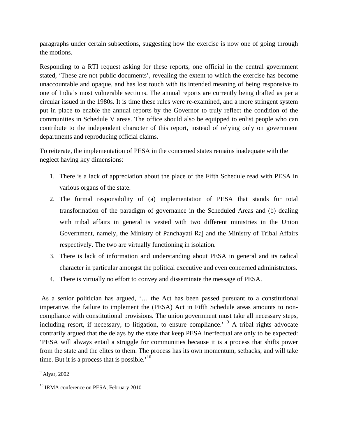paragraphs under certain subsections, suggesting how the exercise is now one of going through the motions.

Responding to a RTI request asking for these reports, one official in the central government stated, 'These are not public documents', revealing the extent to which the exercise has become unaccountable and opaque, and has lost touch with its intended meaning of being responsive to one of India's most vulnerable sections. The annual reports are currently being drafted as per a circular issued in the 1980s. It is time these rules were re-examined, and a more stringent system put in place to enable the annual reports by the Governor to truly reflect the condition of the communities in Schedule V areas. The office should also be equipped to enlist people who can contribute to the independent character of this report, instead of relying only on government departments and reproducing official claims.

To reiterate, the implementation of PESA in the concerned states remains inadequate with the neglect having key dimensions:

- 1. There is a lack of appreciation about the place of the Fifth Schedule read with PESA in various organs of the state.
- 2. The formal responsibility of (a) implementation of PESA that stands for total transformation of the paradigm of governance in the Scheduled Areas and (b) dealing with tribal affairs in general is vested with two different ministries in the Union Government, namely, the Ministry of Panchayati Raj and the Ministry of Tribal Affairs respectively. The two are virtually functioning in isolation.
- 3. There is lack of information and understanding about PESA in general and its radical character in particular amongst the political executive and even concerned administrators.
- 4. There is virtually no effort to convey and disseminate the message of PESA.

 As a senior politician has argued, '… the Act has been passed pursuant to a constitutional imperative, the failure to implement the (PESA) Act in Fifth Schedule areas amounts to noncompliance with constitutional provisions. The union government must take all necessary steps, including resort, if necessary, to litigation, to ensure compliance.<sup> $\theta$ </sup> A tribal rights advocate contrarily argued that the delays by the state that keep PESA ineffectual are only to be expected: 'PESA will always entail a struggle for communities because it is a process that shifts power from the state and the elites to them. The process has its own momentum, setbacks, and will take time. But it is a process that is possible.<sup>'10</sup>

 <sup>9</sup> Aiyar, 2002

<sup>&</sup>lt;sup>10</sup> IRMA conference on PESA, February 2010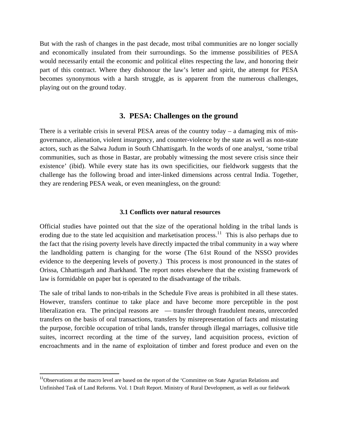But with the rash of changes in the past decade, most tribal communities are no longer socially and economically insulated from their surroundings. So the immense possibilities of PESA would necessarily entail the economic and political elites respecting the law, and honoring their part of this contract. Where they dishonour the law's letter and spirit, the attempt for PESA becomes synonymous with a harsh struggle, as is apparent from the numerous challenges, playing out on the ground today.

#### **3. PESA: Challenges on the ground**

There is a veritable crisis in several PESA areas of the country today  $-$  a damaging mix of misgovernance, alienation, violent insurgency, and counter-violence by the state as well as non-state actors, such as the Salwa Judum in South Chhattisgarh. In the words of one analyst, 'some tribal communities, such as those in Bastar, are probably witnessing the most severe crisis since their existence' (ibid). While every state has its own specificities, our fieldwork suggests that the challenge has the following broad and inter-linked dimensions across central India. Together, they are rendering PESA weak, or even meaningless, on the ground:

#### **3.1 Conflicts over natural resources**

Official studies have pointed out that the size of the operational holding in the tribal lands is eroding due to the state led acquisition and marketisation process.<sup>11</sup> This is also perhaps due to the fact that the rising poverty levels have directly impacted the tribal community in a way where the landholding pattern is changing for the worse (The 61st Round of the NSSO provides evidence to the deepening levels of poverty.) This process is most pronounced in the states of Orissa, Chhattisgarh and Jharkhand. The report notes elsewhere that the existing framework of law is formidable on paper but is operated to the disadvantage of the tribals.

The sale of tribal lands to non-tribals in the Schedule Five areas is prohibited in all these states. However, transfers continue to take place and have become more perceptible in the post liberalization era. The principal reasons are — transfer through fraudulent means, unrecorded transfers on the basis of oral transactions, transfers by misrepresentation of facts and misstating the purpose, forcible occupation of tribal lands, transfer through illegal marriages, collusive title suites, incorrect recording at the time of the survey, land acquisition process, eviction of encroachments and in the name of exploitation of timber and forest produce and even on the

<sup>&</sup>lt;sup>11</sup>Observations at the macro level are based on the report of the 'Committee on State Agrarian Relations and Unfinished Task of Land Reforms. Vol. 1 Draft Report. Ministry of Rural Development, as well as our fieldwork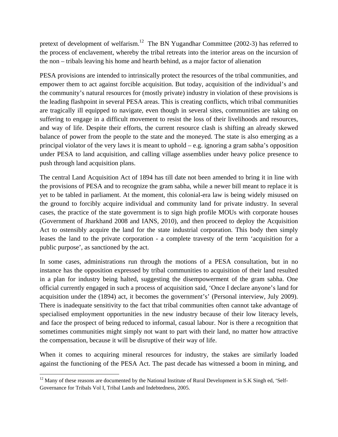pretext of development of welfarism.<sup>12</sup> The BN Yugandhar Committee (2002-3) has referred to the process of enclavement, whereby the tribal retreats into the interior areas on the incursion of the non – tribals leaving his home and hearth behind, as a major factor of alienation

PESA provisions are intended to intrinsically protect the resources of the tribal communities, and empower them to act against forcible acquisition. But today, acquisition of the individual's and the community's natural resources for (mostly private) industry in violation of these provisions is the leading flashpoint in several PESA areas. This is creating conflicts, which tribal communities are tragically ill equipped to navigate, even though in several sites, communities are taking on suffering to engage in a difficult movement to resist the loss of their livelihoods and resources, and way of life. Despite their efforts, the current resource clash is shifting an already skewed balance of power from the people to the state and the moneyed. The state is also emerging as a principal violator of the very laws it is meant to uphold – e.g. ignoring a gram sabha's opposition under PESA to land acquisition, and calling village assemblies under heavy police presence to push through land acquisition plans.

The central Land Acquisition Act of 1894 has till date not been amended to bring it in line with the provisions of PESA and to recognize the gram sabha, while a newer bill meant to replace it is yet to be tabled in parliament. At the moment, this colonial-era law is being widely misused on the ground to forcibly acquire individual and community land for private industry. In several cases, the practice of the state government is to sign high profile MOUs with corporate houses (Government of Jharkhand 2008 and IANS, 2010), and then proceed to deploy the Acquisition Act to ostensibly acquire the land for the state industrial corporation. This body then simply leases the land to the private corporation - a complete travesty of the term 'acquisition for a public purpose', as sanctioned by the act.

In some cases, administrations run through the motions of a PESA consultation, but in no instance has the opposition expressed by tribal communities to acquisition of their land resulted in a plan for industry being halted, suggesting the disempowerment of the gram sabha. One official currently engaged in such a process of acquisition said, 'Once I declare anyone's land for acquisition under the (1894) act, it becomes the government's' (Personal interview, July 2009). There is inadequate sensitivity to the fact that tribal communities often cannot take advantage of specialised employment opportunities in the new industry because of their low literacy levels, and face the prospect of being reduced to informal, casual labour. Nor is there a recognition that sometimes communities might simply not want to part with their land, no matter how attractive the compensation, because it will be disruptive of their way of life.

When it comes to acquiring mineral resources for industry, the stakes are similarly loaded against the functioning of the PESA Act. The past decade has witnessed a boom in mining, and

  $12$  Many of these reasons are documented by the National Institute of Rural Development in S.K Singh ed, 'Self-Governance for Tribals Vol I, Tribal Lands and Indebtedness, 2005.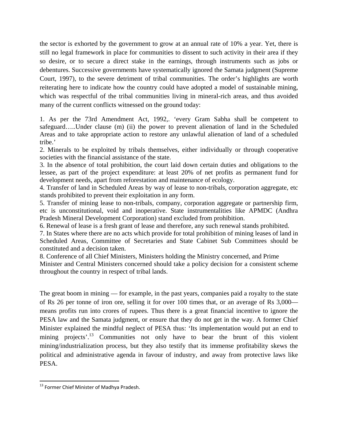the sector is exhorted by the government to grow at an annual rate of 10% a year. Yet, there is still no legal framework in place for communities to dissent to such activity in their area if they so desire, or to secure a direct stake in the earnings, through instruments such as jobs or debentures. Successive governments have systematically ignored the Samata judgment (Supreme Court, 1997), to the severe detriment of tribal communities. The order's highlights are worth reiterating here to indicate how the country could have adopted a model of sustainable mining, which was respectful of the tribal communities living in mineral-rich areas, and thus avoided many of the current conflicts witnessed on the ground today:

1. As per the 73rd Amendment Act, 1992,. 'every Gram Sabha shall be competent to safeguard…..Under clause (m) (ii) the power to prevent alienation of land in the Scheduled Areas and to take appropriate action to restore any unlawful alienation of land of a scheduled tribe.'

2. Minerals to be exploited by tribals themselves, either individually or through cooperative societies with the financial assistance of the state.

3. In the absence of total prohibition, the court laid down certain duties and obligations to the lessee, as part of the project expenditure: at least 20% of net profits as permanent fund for development needs, apart from reforestation and maintenance of ecology.

4. Transfer of land in Scheduled Areas by way of lease to non-tribals, corporation aggregate, etc stands prohibited to prevent their exploitation in any form.

5. Transfer of mining lease to non-tribals, company, corporation aggregate or partnership firm, etc is unconstitutional, void and inoperative. State instrumentalities like APMDC (Andhra Pradesh Mineral Development Corporation) stand excluded from prohibition.

6. Renewal of lease is a fresh grant of lease and therefore, any such renewal stands prohibited.

7. In States where there are no acts which provide for total prohibition of mining leases of land in Scheduled Areas, Committee of Secretaries and State Cabinet Sub Committees should be constituted and a decision taken.

8. Conference of all Chief Ministers, Ministers holding the Ministry concerned, and Prime Minister and Central Ministers concerned should take a policy decision for a consistent scheme throughout the country in respect of tribal lands.

The great boom in mining — for example, in the past years, companies paid a royalty to the state of Rs 26 per tonne of iron ore, selling it for over 100 times that, or an average of Rs 3,000 means profits run into crores of rupees. Thus there is a great financial incentive to ignore the PESA law and the Samata judgment, or ensure that they do not get in the way. A former Chief Minister explained the mindful neglect of PESA thus: 'Its implementation would put an end to mining projects'.<sup>13</sup> Communities not only have to bear the brunt of this violent mining/industrialization process, but they also testify that its immense profitability skews the political and administrative agenda in favour of industry, and away from protective laws like PESA.

 <sup>13</sup> Former Chief Minister of Madhya Pradesh.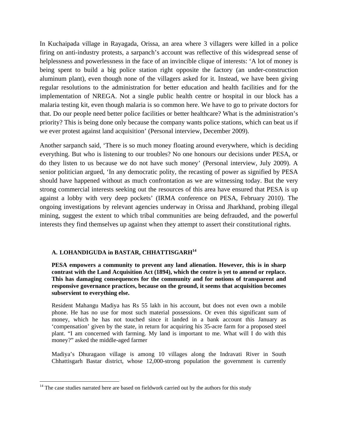In Kuchaipada village in Rayagada, Orissa, an area where 3 villagers were killed in a police firing on anti-industry protests, a sarpanch's account was reflective of this widespread sense of helplessness and powerlessness in the face of an invincible clique of interests: 'A lot of money is being spent to build a big police station right opposite the factory (an under-construction aluminum plant), even though none of the villagers asked for it. Instead, we have been giving regular resolutions to the administration for better education and health facilities and for the implementation of NREGA. Not a single public health centre or hospital in our block has a malaria testing kit, even though malaria is so common here. We have to go to private doctors for that. Do our people need better police facilities or better healthcare? What is the administration's priority? This is being done only because the company wants police stations, which can beat us if we ever protest against land acquisition' (Personal interview, December 2009).

Another sarpanch said, 'There is so much money floating around everywhere, which is deciding everything. But who is listening to our troubles? No one honours our decisions under PESA, or do they listen to us because we do not have such money' (Personal interview, July 2009). A senior politician argued, 'In any democratic polity, the recasting of power as signified by PESA should have happened without as much confrontation as we are witnessing today. But the very strong commercial interests seeking out the resources of this area have ensured that PESA is up against a lobby with very deep pockets' (IRMA conference on PESA, February 2010). The ongoing investigations by relevant agencies underway in Orissa and Jharkhand, probing illegal mining, suggest the extent to which tribal communities are being defrauded, and the powerful interests they find themselves up against when they attempt to assert their constitutional rights.

## **A. LOHANDIGUDA in BASTAR, CHHATTISGARH<sup>14</sup>**

**PESA empowers a community to prevent any land alienation. However, this is in sharp contrast with the Land Acquisition Act (1894), which the centre is yet to amend or replace. This has damaging consequences for the community and for notions of transparent and responsive governance practices, because on the ground, it seems that acquisition becomes subservient to everything else.** 

Resident Mahangu Madiya has Rs 55 lakh in his account, but does not even own a mobile phone. He has no use for most such material possessions. Or even this significant sum of money, which he has not touched since it landed in a bank account this January as 'compensation' given by the state, in return for acquiring his 35-acre farm for a proposed steel plant. "I am concerned with farming. My land is important to me. What will  $\overline{I}$  do with this money?" asked the middle-aged farmer

Madiya's Dhuragaon village is among 10 villages along the Indravati River in South Chhattisgarh Bastar district, whose 12,000-strong population the government is currently

 $14$  The case studies narrated here are based on fieldwork carried out by the authors for this study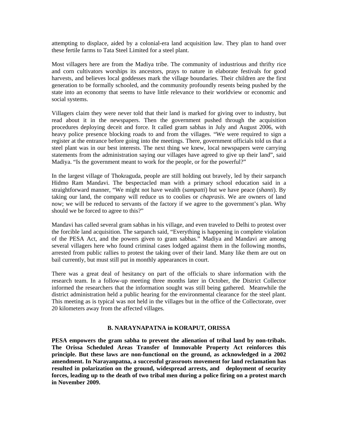attempting to displace, aided by a colonial-era land acquisition law. They plan to hand over these fertile farms to Tata Steel Limited for a steel plant.

Most villagers here are from the Madiya tribe. The community of industrious and thrifty rice and corn cultivators worships its ancestors, prays to nature in elaborate festivals for good harvests, and believes local goddesses mark the village boundaries. Their children are the first generation to be formally schooled, and the community profoundly resents being pushed by the state into an economy that seems to have little relevance to their worldview or economic and social systems.

Villagers claim they were never told that their land is marked for giving over to industry, but read about it in the newspapers. Then the government pushed through the acquisition procedures deploying deceit and force. It called gram sabhas in July and August 2006, with heavy police presence blocking roads to and from the villages. "We were required to sign a register at the entrance before going into the meetings. There, government officials told us that a steel plant was in our best interests. The next thing we knew, local newspapers were carrying statements from the administration saying our villages have agreed to give up their land", said Madiya. "Is the government meant to work for the people, or for the powerful?"

In the largest village of Thokraguda, people are still holding out bravely, led by their sarpanch Hidmo Ram Mandavi. The bespectacled man with a primary school education said in a straightforward manner, "We might not have wealth (*sampatti*) but we have peace (*shanti*). By taking our land, the company will reduce us to coolies or *chaprasis*. We are owners of land now; we will be reduced to servants of the factory if we agree to the government's plan. Why should we be forced to agree to this?"

Mandavi has called several gram sabhas in his village, and even traveled to Delhi to protest over the forcible land acquisition. The sarpanch said, "Everything is happening in complete violation of the PESA Act, and the powers given to gram sabhas." Madiya and Mandavi are among several villagers here who found criminal cases lodged against them in the following months, arrested from public rallies to protest the taking over of their land. Many like them are out on bail currently, but must still put in monthly appearances in court.

There was a great deal of hesitancy on part of the officials to share information with the research team. In a follow-up meeting three months later in October, the District Collector informed the researchers that the information sought was still being gathered. Meanwhile the district administration held a public hearing for the environmental clearance for the steel plant. This meeting as is typical was not held in the villages but in the office of the Collectorate, over 20 kilometers away from the affected villages.

#### **B. NARAYNAPATNA in KORAPUT, ORISSA**

**PESA empowers the gram sabha to prevent the alienation of tribal land by non-tribals. The Orissa Scheduled Areas Transfer of Immovable Property Act reinforces this principle. But these laws are non-functional on the ground, as acknowledged in a 2002 amendment. In Narayanpatna, a successful grassroots movement for land reclamation has resulted in polarization on the ground, widespread arrests, and deployment of security forces, leading up to the death of two tribal men during a police firing on a protest march in November 2009.**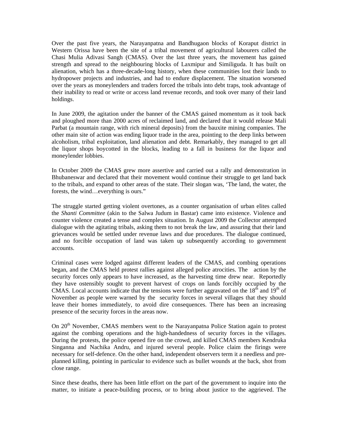Over the past five years, the Narayanpatna and Bandhugaon blocks of Koraput district in Western Orissa have been the site of a tribal movement of agricultural labourers called the Chasi Mulia Adivasi Sangh (CMAS). Over the last three years, the movement has gained strength and spread to the neighbouring blocks of Laxmipur and Similiguda. It has built on alienation, which has a three-decade-long history, when these communities lost their lands to hydropower projects and industries, and had to endure displacement. The situation worsened over the years as moneylenders and traders forced the tribals into debt traps, took advantage of their inability to read or write or access land revenue records, and took over many of their land holdings.

In June 2009, the agitation under the banner of the CMAS gained momentum as it took back and ploughed more than 2000 acres of reclaimed land, and declared that it would release Mali Parbat (a mountain range, with rich mineral deposits) from the bauxite mining companies. The other main site of action was ending liquor trade in the area, pointing to the deep links between alcoholism, tribal exploitation, land alienation and debt. Remarkably, they managed to get all the liquor shops boycotted in the blocks, leading to a fall in business for the liquor and moneylender lobbies.

In October 2009 the CMAS grew more assertive and carried out a rally and demonstration in Bhubaneswar and declared that their movement would continue their struggle to get land back to the tribals, and expand to other areas of the state. Their slogan was, 'The land, the water, the forests, the wind…everything is ours."

The struggle started getting violent overtones, as a counter organisation of urban elites called the *Shanti Committee* (akin to the Salwa Judum in Bastar) came into existence. Violence and counter violence created a tense and complex situation. In August 2009 the Collector attempted dialogue with the agitating tribals, asking them to not break the law, and assuring that their land grievances would be settled under revenue laws and due procedures. The dialogue continued, and no forcible occupation of land was taken up subsequently according to government accounts.

Criminal cases were lodged against different leaders of the CMAS, and combing operations began, and the CMAS held protest rallies against alleged police atrocities. The action by the security forces only appears to have increased, as the harvesting time drew near. Reportedly they have ostensibly sought to prevent harvest of crops on lands forcibly occupied by the CMAS. Local accounts indicate that the tensions were further aggravated on the  $18<sup>th</sup>$  and  $19<sup>th</sup>$  of November as people were warned by the security forces in several villages that they should leave their homes immediately, to avoid dire consequences. There has been an increasing presence of the security forces in the areas now.

On 20<sup>th</sup> November, CMAS members went to the Narayanpatna Police Station again to protest against the combing operations and the high-handedness of security forces in the villages. During the protests, the police opened fire on the crowd, and killed CMAS members Kendruka Singanna and Nachika Andru, and injured several people. Police claim the firings were necessary for self-defence. On the other hand, independent observers term it a needless and preplanned killing, pointing in particular to evidence such as bullet wounds at the back, shot from close range.

Since these deaths, there has been little effort on the part of the government to inquire into the matter, to initiate a peace-building process, or to bring about justice to the aggrieved. The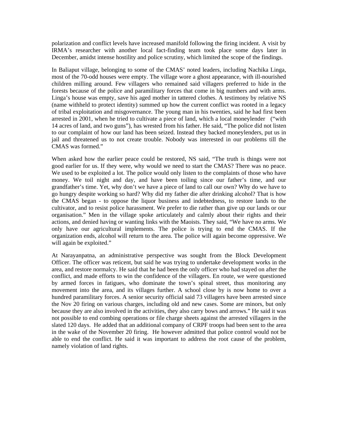polarization and conflict levels have increased manifold following the firing incident. A visit by IRMA's researcher with another local fact-finding team took place some days later in December, amidst intense hostility and police scrutiny, which limited the scope of the findings.

In Baliaput village, belonging to some of the CMAS' noted leaders, including Nachika Linga, most of the 70-odd houses were empty. The village wore a ghost appearance, with ill-nourished children milling around. Few villagers who remained said villagers preferred to hide in the forests because of the police and paramilitary forces that come in big numbers and with arms. Linga's house was empty, save his aged mother in tattered clothes. A testimony by relative NS (name withheld to protect identity) summed up how the current conflict was rooted in a legacy of tribal exploitation and misgovernance. The young man in his twenties, said he had first been arrested in 2001, when he tried to cultivate a piece of land, which a local moneylender ("with 14 acres of land, and two guns"), has wrested from his father. He said, "The police did not listen to our complaint of how our land has been seized. Instead they backed moneylenders, put us in jail and threatened us to not create trouble. Nobody was interested in our problems till the CMAS was formed."

When asked how the earlier peace could be restored, NS said, "The truth is things were not good earlier for us. If they were, why would we need to start the CMAS? There was no peace. We used to be exploited a lot. The police would only listen to the complaints of those who have money. We toil night and day, and have been toiling since our father's time, and our grandfather's time. Yet, why don't we have a piece of land to call our own? Why do we have to go hungry despite working so hard? Why did my father die after drinking alcohol? That is how the CMAS began - to oppose the liquor business and indebtedness, to restore lands to the cultivator, and to resist police harassment. We prefer to die rather than give up our lands or our organisation." Men in the village spoke articulately and calmly about their rights and their actions, and denied having or wanting links with the Maoists. They said, "We have no arms. We only have our agricultural implements. The police is trying to end the CMAS. If the organization ends, alcohol will return to the area. The police will again become oppressive. We will again be exploited."

At Narayanpatna, an administrative perspective was sought from the Block Development Officer. The officer was reticent, but said he was trying to undertake development works in the area, and restore normalcy. He said that he had been the only officer who had stayed on after the conflict, and made efforts to win the confidence of the villagers. En route, we were questioned by armed forces in fatigues, who dominate the town's spinal street, thus monitoring any movement into the area, and its villages further. A school close by is now home to over a hundred paramilitary forces. A senior security official said 73 villagers have been arrested since the Nov 20 firing on various charges, including old and new cases. Some are minors, but only because they are also involved in the activities, they also carry bows and arrows." He said it was not possible to end combing operations or file charge sheets against the arrested villagers in the slated 120 days. He added that an additional company of CRPF troops had been sent to the area in the wake of the November 20 firing. He however admitted that police control would not be able to end the conflict. He said it was important to address the root cause of the problem, namely violation of land rights.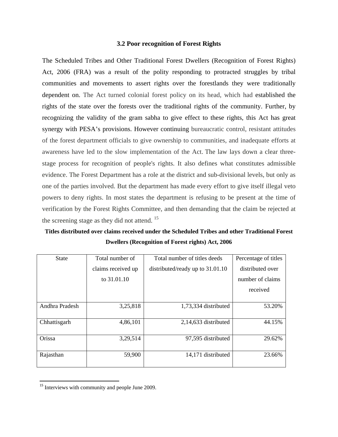#### **3.2 Poor recognition of Forest Rights**

The Scheduled Tribes and Other Traditional Forest Dwellers (Recognition of Forest Rights) Act, 2006 (FRA) was a result of the polity responding to protracted struggles by tribal communities and movements to assert rights over the forestlands they were traditionally dependent on. The Act turned colonial forest policy on its head, which had established the rights of the state over the forests over the traditional rights of the community. Further, by recognizing the validity of the gram sabha to give effect to these rights, this Act has great synergy with PESA's provisions. However continuing bureaucratic control, resistant attitudes of the forest department officials to give ownership to communities, and inadequate efforts at awareness have led to the slow implementation of the Act. The law lays down a clear threestage process for recognition of people's rights. It also defines what constitutes admissible evidence. The Forest Department has a role at the district and sub-divisional levels, but only as one of the parties involved. But the department has made every effort to give itself illegal veto powers to deny rights. In most states the department is refusing to be present at the time of verification by the Forest Rights Committee, and then demanding that the claim be rejected at the screening stage as they did not attend.  $15$ 

**Titles distributed over claims received under the Scheduled Tribes and other Traditional Forest Dwellers (Recognition of Forest rights) Act, 2006** 

| <b>State</b>   | Total number of    | Total number of titles deeds       | Percentage of titles |
|----------------|--------------------|------------------------------------|----------------------|
|                | claims received up | distributed/ready up to $31.01.10$ | distributed over     |
|                | to 31.01.10        |                                    | number of claims     |
|                |                    |                                    | received             |
|                |                    |                                    |                      |
| Andhra Pradesh | 3,25,818           | 1,73,334 distributed               | 53.20%               |
|                |                    |                                    |                      |
| Chhattisgarh   | 4,86,101           | $2,14,633$ distributed             | 44.15%               |
|                |                    |                                    |                      |
| Orissa         | 3,29,514           | 97,595 distributed                 | 29.62%               |
|                |                    |                                    |                      |
| Rajasthan      | 59,900             | 14,171 distributed                 | 23.66%               |
|                |                    |                                    |                      |

<sup>&</sup>lt;sup>15</sup> Interviews with community and people June 2009.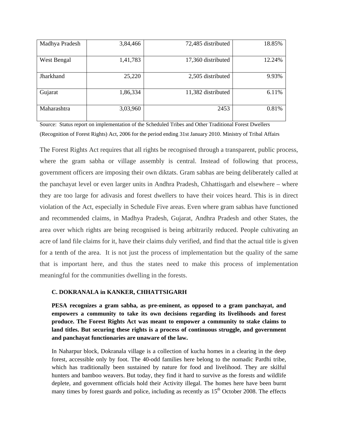| Madhya Pradesh | 3,84,466 | 72,485 distributed | 18.85% |
|----------------|----------|--------------------|--------|
| West Bengal    | 1,41,783 | 17,360 distributed | 12.24% |
| Jharkhand      | 25,220   | 2,505 distributed  | 9.93%  |
| Gujarat        | 1,86,334 | 11,382 distributed | 6.11%  |
| Maharashtra    | 3,03,960 | 2453               | 0.81%  |

Source: Status report on implementation of the Scheduled Tribes and Other Traditional Forest Dwellers (Recognition of Forest Rights) Act, 2006 for the period ending 31st January 2010. Ministry of Tribal Affairs

The Forest Rights Act requires that all rights be recognised through a transparent, public process, where the gram sabha or village assembly is central. Instead of following that process, government officers are imposing their own diktats. Gram sabhas are being deliberately called at the panchayat level or even larger units in Andhra Pradesh, Chhattisgarh and elsewhere – where they are too large for adivasis and forest dwellers to have their voices heard. This is in direct violation of the Act, especially in Schedule Five areas. Even where gram sabhas have functioned and recommended claims, in Madhya Pradesh, Gujarat, Andhra Pradesh and other States, the area over which rights are being recognised is being arbitrarily reduced. People cultivating an acre of land file claims for it, have their claims duly verified, and find that the actual title is given for a tenth of the area. It is not just the process of implementation but the quality of the same that is important here, and thus the states need to make this process of implementation meaningful for the communities dwelling in the forests.

#### **C. DOKRANALA in KANKER, CHHATTSIGARH**

**PESA recognizes a gram sabha, as pre-eminent, as opposed to a gram panchayat, and empowers a community to take its own decisions regarding its livelihoods and forest produce. The Forest Rights Act was meant to empower a community to stake claims to land titles. But securing these rights is a process of continuous struggle, and government and panchayat functionaries are unaware of the law.** 

In Naharpur block, Dokranala village is a collection of kucha homes in a clearing in the deep forest, accessible only by foot. The 40-odd families here belong to the nomadic Pardhi tribe, which has traditionally been sustained by nature for food and livelihood. They are skilful hunters and bamboo weavers. But today, they find it hard to survive as the forests and wildlife deplete, and government officials hold their Activity illegal. The homes here have been burnt many times by forest guards and police, including as recently as  $15<sup>th</sup>$  October 2008. The effects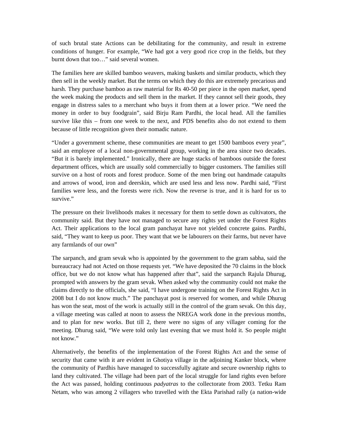of such brutal state Actions can be debilitating for the community, and result in extreme conditions of hunger. For example, "We had got a very good rice crop in the fields, but they burnt down that too…" said several women.

The families here are skilled bamboo weavers, making baskets and similar products, which they then sell in the weekly market. But the terms on which they do this are extremely precarious and harsh. They purchase bamboo as raw material for Rs 40-50 per piece in the open market, spend the week making the products and sell them in the market. If they cannot sell their goods, they engage in distress sales to a merchant who buys it from them at a lower price. "We need the money in order to buy foodgrain", said Birju Ram Pardhi, the local head. All the families survive like this – from one week to the next, and PDS benefits also do not extend to them because of little recognition given their nomadic nature.

"Under a government scheme, these communities are meant to get 1500 bamboos every year", said an employee of a local non-governmental group, working in the area since two decades. "But it is barely implemented." Ironically, there are huge stacks of bamboos outside the forest department offices, which are usually sold commercially to bigger customers. The families still survive on a host of roots and forest produce. Some of the men bring out handmade catapults and arrows of wood, iron and deerskin, which are used less and less now. Pardhi said, "First families were less, and the forests were rich. Now the reverse is true, and it is hard for us to survive."

The pressure on their livelihoods makes it necessary for them to settle down as cultivators, the community said. But they have not managed to secure any rights yet under the Forest Rights Act. Their applications to the local gram panchayat have not yielded concrete gains. Pardhi, said, "They want to keep us poor. They want that we be labourers on their farms, but never have any farmlands of our own"

The sarpanch, and gram sevak who is appointed by the government to the gram sabha, said the bureaucracy had not Acted on those requests yet. "We have deposited the 70 claims in the block office, but we do not know what has happened after that", said the sarpanch Rajula Dhurug, prompted with answers by the gram sevak. When asked why the community could not make the claims directly to the officials, she said, "I have undergone training on the Forest Rights Act in 2008 but I do not know much." The panchayat post is reserved for women, and while Dhurug has won the seat, most of the work is actually still in the control of the gram sevak. On this day, a village meeting was called at noon to assess the NREGA work done in the previous months, and to plan for new works. But till 2, there were no signs of any villager coming for the meeting. Dhurug said, "We were told only last evening that we must hold it. So people might not know"

Alternatively, the benefits of the implementation of the Forest Rights Act and the sense of security that came with it are evident in Ghotiya village in the adjoining Kanker block, where the community of Pardhis have managed to successfully agitate and secure ownership rights to land they cultivated. The village had been part of the local struggle for land rights even before the Act was passed, holding continuous *padyatras* to the collectorate from 2003. Tetku Ram Netam, who was among 2 villagers who travelled with the Ekta Parishad rally (a nation-wide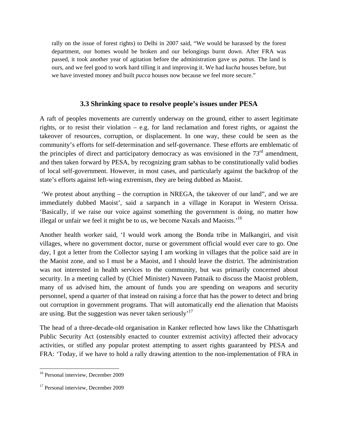rally on the issue of forest rights) to Delhi in 2007 said, "We would be harassed by the forest department, our homes would be broken and our belongings burnt down. After FRA was passed, it took another year of agitation before the administration gave us *pattas*. The land is ours, and we feel good to work hard tilling it and improving it. We had *kucha* houses before, but we have invested money and built *pucca* houses now because we feel more secure."

## **3.3 Shrinking space to resolve people's issues under PESA**

A raft of peoples movements are currently underway on the ground, either to assert legitimate rights, or to resist their violation – e.g. for land reclamation and forest rights, or against the takeover of resources, corruption, or displacement. In one way, these could be seen as the community's efforts for self-determination and self-governance. These efforts are emblematic of the principles of direct and participatory democracy as was envisioned in the  $73<sup>rd</sup>$  amendment, and then taken forward by PESA, by recognizing gram sabhas to be constitutionally valid bodies of local self-government. However, in most cases, and particularly against the backdrop of the state's efforts against left-wing extremism, they are being dubbed as Maoist.

 'We protest about anything – the corruption in NREGA, the takeover of our land", and we are immediately dubbed Maoist', said a sarpanch in a village in Koraput in Western Orissa. 'Basically, if we raise our voice against something the government is doing, no matter how illegal or unfair we feel it might be to us, we become Naxals and Maoists.<sup>16</sup>

Another health worker said, 'I would work among the Bonda tribe in Malkangiri, and visit villages, where no government doctor, nurse or government official would ever care to go. One day, I got a letter from the Collector saying I am working in villages that the police said are in the Maoist zone, and so I must be a Maoist, and I should leave the district. The administration was not interested in health services to the community, but was primarily concerned about security. In a meeting called by (Chief Minister) Naveen Patnaik to discuss the Maoist problem, many of us advised him, the amount of funds you are spending on weapons and security personnel, spend a quarter of that instead on raising a force that has the power to detect and bring out corruption in government programs. That will automatically end the alienation that Maoists are using. But the suggestion was never taken seriously<sup> $17$ </sup>

The head of a three-decade-old organisation in Kanker reflected how laws like the Chhattisgarh Public Security Act (ostensibly enacted to counter extremist activity) affected their advocacy activities, or stifled any popular protest attempting to assert rights guaranteed by PESA and FRA: 'Today, if we have to hold a rally drawing attention to the non-implementation of FRA in

 <sup>16</sup> Personal interview, December 2009

<sup>&</sup>lt;sup>17</sup> Personal interview, December 2009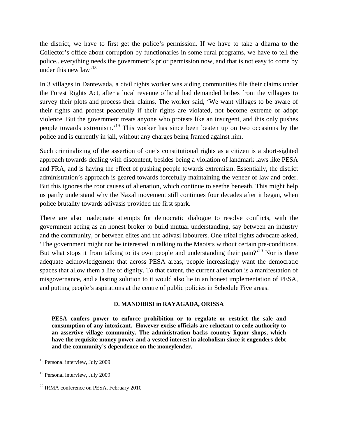the district, we have to first get the police's permission. If we have to take a dharna to the Collector's office about corruption by functionaries in some rural programs, we have to tell the police...everything needs the government's prior permission now, and that is not easy to come by under this new  $law'$ <sup>18</sup>

In 3 villages in Dantewada, a civil rights worker was aiding communities file their claims under the Forest Rights Act, after a local revenue official had demanded bribes from the villagers to survey their plots and process their claims. The worker said, 'We want villages to be aware of their rights and protest peacefully if their rights are violated, not become extreme or adopt violence. But the government treats anyone who protests like an insurgent, and this only pushes people towards extremism.'19 This worker has since been beaten up on two occasions by the police and is currently in jail, without any charges being framed against him.

Such criminalizing of the assertion of one's constitutional rights as a citizen is a short-sighted approach towards dealing with discontent, besides being a violation of landmark laws like PESA and FRA, and is having the effect of pushing people towards extremism. Essentially, the district administration's approach is geared towards forcefully maintaining the veneer of law and order. But this ignores the root causes of alienation, which continue to seethe beneath. This might help us partly understand why the Naxal movement still continues four decades after it began, when police brutality towards adivasis provided the first spark.

There are also inadequate attempts for democratic dialogue to resolve conflicts, with the government acting as an honest broker to build mutual understanding, say between an industry and the community, or between elites and the adivasi labourers. One tribal rights advocate asked, 'The government might not be interested in talking to the Maoists without certain pre-conditions. But what stops it from talking to its own people and understanding their pain?<sup>20</sup> Nor is there adequate acknowledgement that across PESA areas, people increasingly want the democratic spaces that allow them a life of dignity. To that extent, the current alienation is a manifestation of misgovernance, and a lasting solution to it would also lie in an honest implementation of PESA, and putting people's aspirations at the centre of public policies in Schedule Five areas.

#### **D. MANDIBISI in RAYAGADA, ORISSA**

**PESA confers power to enforce prohibition or to regulate or restrict the sale and consumption of any intoxicant. However excise officials are reluctant to cede authority to an assertive village community. The administration backs country liquor shops, which have the requisite money power and a vested interest in alcoholism since it engenders debt and the community's dependence on the moneylender.** 

 <sup>18</sup> Personal interview, July 2009

<sup>&</sup>lt;sup>19</sup> Personal interview, July 2009

<sup>&</sup>lt;sup>20</sup> IRMA conference on PESA, February 2010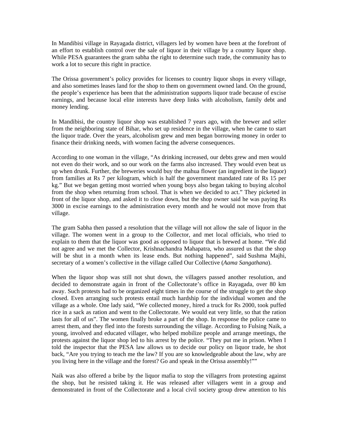In Mandibisi village in Rayagada district, villagers led by women have been at the forefront of an effort to establish control over the sale of liquor in their village by a country liquor shop. While PESA guarantees the gram sabha the right to determine such trade, the community has to work a lot to secure this right in practice.

The Orissa government's policy provides for licenses to country liquor shops in every village, and also sometimes leases land for the shop to them on government owned land. On the ground, the people's experience has been that the administration supports liquor trade because of excise earnings, and because local elite interests have deep links with alcoholism, family debt and money lending.

In Mandibisi, the country liquor shop was established 7 years ago, with the brewer and seller from the neighboring state of Bihar, who set up residence in the village, when he came to start the liquor trade. Over the years, alcoholism grew and men began borrowing money in order to finance their drinking needs, with women facing the adverse consequences.

According to one woman in the village, "As drinking increased, our debts grew and men would not even do their work, and so our work on the farms also increased. They would even beat us up when drunk. Further, the breweries would buy the mahua flower (an ingredient in the liquor) from families at Rs 7 per kilogram, which is half the government mandated rate of Rs 15 per kg." But we began getting most worried when young boys also began taking to buying alcohol from the shop when returning from school. That is when we decided to act." They picketed in front of the liquor shop, and asked it to close down, but the shop owner said he was paying Rs 3000 in excise earnings to the administration every month and he would not move from that village.

The gram Sabha then passed a resolution that the village will not allow the sale of liquor in the village. The women went in a group to the Collector, and met local officials, who tried to explain to them that the liquor was good as opposed to liquor that is brewed at home. "We did not agree and we met the Collector, Krishnachandra Mahapatra, who assured us that the shop will be shut in a month when its lease ends. But nothing happened", said Sushma Majhi, secretary of a women's collective in the village called Our Collective (*Aama Sangathana*).

When the liquor shop was still not shut down, the villagers passed another resolution, and decided to demonstrate again in front of the Collectorate's office in Rayagada, over 80 km away. Such protests had to be organized eight times in the course of the struggle to get the shop closed. Even arranging such protests entail much hardship for the individual women and the village as a whole. One lady said, "We collected money, hired a truck for Rs 2000, took puffed rice in a sack as ration and went to the Collectorate. We would eat very little, so that the ration lasts for all of us". The women finally broke a part of the shop. In response the police came to arrest them, and they fled into the forests surrounding the village. According to Fulsing Naik, a young, involved and educated villager, who helped mobilize people and arrange meetings, the protests against the liquor shop led to his arrest by the police. "They put me in prison. When I told the inspector that the PESA law allows us to decide our policy on liquor trade, he shot back, "Are you trying to teach me the law? If you are so knowledgeable about the law, why are you living here in the village and the forest? Go and speak in the Orissa assembly!""

Naik was also offered a bribe by the liquor mafia to stop the villagers from protesting against the shop, but he resisted taking it. He was released after villagers went in a group and demonstrated in front of the Collectorate and a local civil society group drew attention to his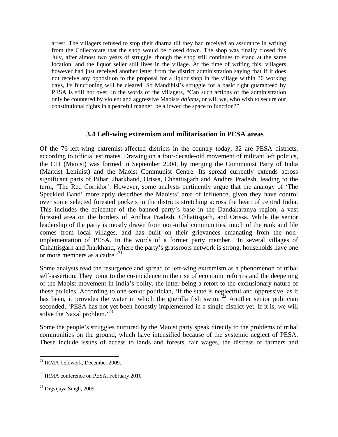arrest. The villagers refused to stop their dharna till they had received an assurance in writing from the Collectorate that the shop would be closed down. The shop was finally closed this July, after almost two years of struggle, though the shop still continues to stand at the same location, and the liquor seller still lives in the village. At the time of writing this, villagers however had just received another letter from the district administration saying that if it does not receive any opposition to the proposal for a liquor shop in the village within 30 working days, its functioning will be cleared. So Mandibisi's struggle for a basic right guaranteed by PESA is still not over. In the words of the villagers, "Can such actions of the administration only be countered by violent and aggressive Maoists *dalams*, or will we, who wish to secure our constitutional rights in a peaceful manner, be allowed the space to function?"

#### **3.4 Left-wing extremism and militarisation in PESA areas**

Of the 76 left-wing extremist-affected districts in the country today, 32 are PESA districts, according to official estimates. Drawing on a four-decade-old movement of militant left politics, the CPI (Maoist) was formed in September 2004, by merging the Communist Party of India (Marxist Leninist) and the Maoist Communist Centre. Its spread currently extends across significant parts of Bihar, Jharkhand, Orissa, Chhattisgarh and Andhra Pradesh, leading to the term, 'The Red Corridor'. However, some analysts pertinently argue that the analogy of 'The Speckled Band' more aptly describes the Maoists' area of influence, given they have control over some selected forested pockets in the districts stretching across the heart of central India. This includes the epicenter of the banned party's base in the Dandakaranya region, a vast forested area on the borders of Andhra Pradesh, Chhattisgarh, and Orissa. While the senior leadership of the party is mostly drawn from non-tribal communities, much of the rank and file comes from local villages, and has built on their grievances emanating from the nonimplementation of PESA. In the words of a former party member, 'In several villages of Chhattisgarh and Jharkhand, where the party's grassroots network is strong, households have one or more members as a cadre.<sup>21</sup>

Some analysts read the resurgence and spread of left-wing extremism as a phenomenon of tribal self-assertion. They point to the co-incidence in the rise of economic reforms and the deepening of the Maoist movement in India's polity, the latter being a retort to the exclusionary nature of these policies. According to one senior politician, 'If the state is neglectful and oppressive, as it has been, it provides the water in which the guerilla fish swim.<sup>522</sup> Another senior politician seconded, 'PESA has not yet been honestly implemented in a single district yet. If it is, we will solve the Naxal problem.<sup>23</sup>

Some the people's struggles nurtured by the Maoist party speak directly to the problems of tribal communities on the ground, which have intensified because of the systemic neglect of PESA. These include issues of access to lands and forests, fair wages, the distress of farmers and

 <sup>21</sup> IRMA fieldwork, December 2009.

<sup>&</sup>lt;sup>22</sup> IRMA conference on PESA, February 2010

<sup>23</sup> Digvijaya Singh, 2009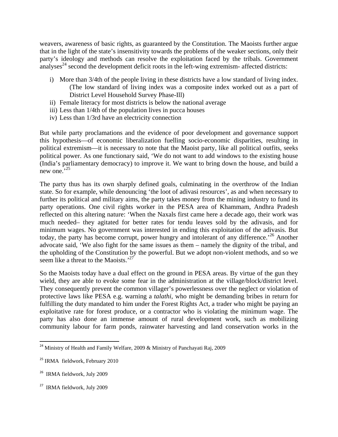weavers, awareness of basic rights, as guaranteed by the Constitution. The Maoists further argue that in the light of the state's insensitivity towards the problems of the weaker sections, only their party's ideology and methods can resolve the exploitation faced by the tribals. Government analyses<sup> $24$ </sup> second the development deficit roots in the left-wing extremism- affected districts:

- i) More than 3/4th of the people living in these districts have a low standard of living index. (The low standard of living index was a composite index worked out as a part of District Level Household Survey Phase-Ill)
- ii) Female literacy for most districts is below the national average
- iii) Less than 1/4th of the population lives in pucca houses
- iv) Less than 1/3rd have an electricity connection

But while party proclamations and the evidence of poor development and governance support this hypothesis—of economic liberalization fuelling socio-economic disparities, resulting in political extremism—it is necessary to note that the Maoist party, like all political outfits, seeks political power. As one functionary said, 'We do not want to add windows to the existing house (India's parliamentary democracy) to improve it. We want to bring down the house, and build a new one.<sup>325</sup>

The party thus has its own sharply defined goals, culminating in the overthrow of the Indian state. So for example, while denouncing 'the loot of adivasi resources', as and when necessary to further its political and military aims, the party takes money from the mining industry to fund its party operations. One civil rights worker in the PESA area of Khammam, Andhra Pradesh reflected on this altering nature: 'When the Naxals first came here a decade ago, their work was much needed– they agitated for better rates for tendu leaves sold by the adivasis, and for minimum wages. No government was interested in ending this exploitation of the adivasis. But today, the party has become corrupt, power hungry and intolerant of any difference.<sup>26</sup> Another advocate said, 'We also fight for the same issues as them – namely the dignity of the tribal, and the upholding of the Constitution by the powerful. But we adopt non-violent methods, and so we seem like a threat to the Maoists.'<sup>27</sup>

So the Maoists today have a dual effect on the ground in PESA areas. By virtue of the gun they wield, they are able to evoke some fear in the administration at the village/block/district level. They consequently prevent the common villager's powerlessness over the neglect or violation of protective laws like PESA e.g. warning a *talathi*, who might be demanding bribes in return for fulfilling the duty mandated to him under the Forest Rights Act, a trader who might be paying an exploitative rate for forest produce, or a contractor who is violating the minimum wage. The party has also done an immense amount of rural development work, such as mobilizing community labour for farm ponds, rainwater harvesting and land conservation works in the

<sup>&</sup>lt;sup>24</sup> Ministry of Health and Family Welfare, 2009 & Ministry of Panchayati Raj, 2009

<sup>&</sup>lt;sup>25</sup> IRMA fieldwork, February 2010

<sup>&</sup>lt;sup>26</sup> IRMA fieldwork, July 2009

<sup>27</sup> IRMA fieldwork, July 2009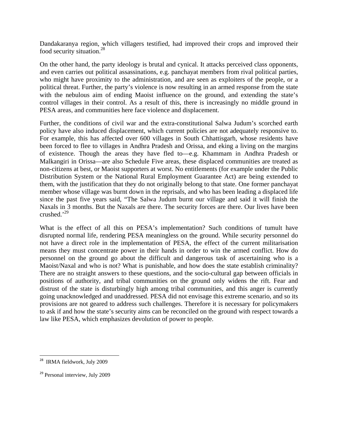Dandakaranya region, which villagers testified, had improved their crops and improved their food security situation.<sup>28</sup>

On the other hand, the party ideology is brutal and cynical. It attacks perceived class opponents, and even carries out political assassinations, e.g. panchayat members from rival political parties, who might have proximity to the administration, and are seen as exploiters of the people, or a political threat. Further, the party's violence is now resulting in an armed response from the state with the nebulous aim of ending Maoist influence on the ground, and extending the state's control villages in their control. As a result of this, there is increasingly no middle ground in PESA areas, and communities here face violence and displacement.

Further, the conditions of civil war and the extra-constitutional Salwa Judum's scorched earth policy have also induced displacement, which current policies are not adequately responsive to. For example, this has affected over 600 villages in South Chhattisgarh, whose residents have been forced to flee to villages in Andhra Pradesh and Orissa, and eking a living on the margins of existence. Though the areas they have fled to—e.g. Khammam in Andhra Pradesh or Malkangiri in Orissa—are also Schedule Five areas, these displaced communities are treated as non-citizens at best, or Maoist supporters at worst. No entitlements (for example under the Public Distribution System or the National Rural Employment Guarantee Act) are being extended to them, with the justification that they do not originally belong to that state. One former panchayat member whose village was burnt down in the reprisals, and who has been leading a displaced life since the past five years said, "The Salwa Judum burnt our village and said it will finish the Naxals in 3 months. But the Naxals are there. The security forces are there. Our lives have been crushed. $^{29}$ 

What is the effect of all this on PESA's implementation? Such conditions of tumult have disrupted normal life, rendering PESA meaningless on the ground. While security personnel do not have a direct role in the implementation of PESA, the effect of the current militarisation means they must concentrate power in their hands in order to win the armed conflict. How do personnel on the ground go about the difficult and dangerous task of ascertaining who is a Maoist/Naxal and who is not? What is punishable, and how does the state establish criminality? There are no straight answers to these questions, and the socio-cultural gap between officials in positions of authority, and tribal communities on the ground only widens the rift. Fear and distrust of the state is disturbingly high among tribal communities, and this anger is currently going unacknowledged and unaddressed. PESA did not envisage this extreme scenario, and so its provisions are not geared to address such challenges. Therefore it is necessary for policymakers to ask if and how the state's security aims can be reconciled on the ground with respect towards a law like PESA, which emphasizes devolution of power to people.

 <sup>28</sup> IRMA fieldwork, July 2009

<sup>&</sup>lt;sup>29</sup> Personal interview, July 2009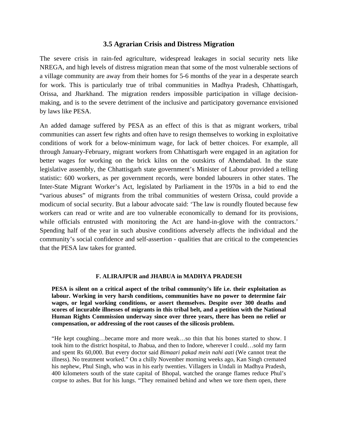#### **3.5 Agrarian Crisis and Distress Migration**

The severe crisis in rain-fed agriculture, widespread leakages in social security nets like NREGA, and high levels of distress migration mean that some of the most vulnerable sections of a village community are away from their homes for 5-6 months of the year in a desperate search for work. This is particularly true of tribal communities in Madhya Pradesh, Chhattisgarh, Orissa, and Jharkhand. The migration renders impossible participation in village decisionmaking, and is to the severe detriment of the inclusive and participatory governance envisioned by laws like PESA.

An added damage suffered by PESA as an effect of this is that as migrant workers, tribal communities can assert few rights and often have to resign themselves to working in exploitative conditions of work for a below-minimum wage, for lack of better choices. For example, all through January-February, migrant workers from Chhattisgarh were engaged in an agitation for better wages for working on the brick kilns on the outskirts of Ahemdabad. In the state legislative assembly, the Chhattisgarh state government's Minister of Labour provided a telling statistic: 600 workers, as per government records, were bonded labourers in other states. The Inter-State Migrant Worker's Act, legislated by Parliament in the 1970s in a bid to end the "various abuses" of migrants from the tribal communities of western Orissa, could provide a modicum of social security. But a labour advocate said: 'The law is roundly flouted because few workers can read or write and are too vulnerable economically to demand for its provisions, while officials entrusted with monitoring the Act are hand-in-glove with the contractors.' Spending half of the year in such abusive conditions adversely affects the individual and the community's social confidence and self-assertion - qualities that are critical to the competencies that the PESA law takes for granted.

#### **F. ALIRAJPUR and JHABUA in MADHYA PRADESH**

**PESA is silent on a critical aspect of the tribal community's life i.e. their exploitation as labour. Working in very harsh conditions, communities have no power to determine fair wages, or legal working conditions, or assert themselves. Despite over 300 deaths and scores of incurable illnesses of migrants in this tribal belt, and a petition with the National Human Rights Commission underway since over three years, there has been no relief or compensation, or addressing of the root causes of the silicosis problem.** 

"He kept coughing…became more and more weak…so thin that his bones started to show. I took him to the district hospital, to Jhabua, and then to Indore, wherever I could…sold my farm and spent Rs 60,000. But every doctor said *Bimaari pakad mein nahi aati* (We cannot treat the illness). No treatment worked." On a chilly November morning weeks ago, Kan Singh cremated his nephew, Phul Singh, who was in his early twenties. Villagers in Undali in Madhya Pradesh, 400 kilometers south of the state capital of Bhopal, watched the orange flames reduce Phul's corpse to ashes. But for his lungs. "They remained behind and when we tore them open, there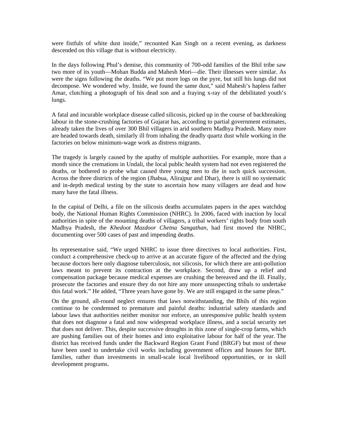were fistfuls of white dust inside," recounted Kan Singh on a recent evening, as darkness descended on this village that is without electricity.

In the days following Phul's demise, this community of 700-odd families of the Bhil tribe saw two more of its youth—Mohan Budda and Mahesh Mori—die. Their illnesses were similar. As were the signs following the deaths. "We put more logs on the pyre, but still his lungs did not decompose. We wondered why. Inside, we found the same dust," said Mahesh's hapless father Amar, clutching a photograph of his dead son and a fraying x-ray of the debilitated youth's lungs.

A fatal and incurable workplace disease called silicosis, picked up in the course of backbreaking labour in the stone-crushing factories of Gujarat has, according to partial government estimates, already taken the lives of over 300 Bhil villagers in arid southern Madhya Pradesh. Many more are headed towards death, similarly ill from inhaling the deadly quartz dust while working in the factories on below minimum-wage work as distress migrants.

The tragedy is largely caused by the apathy of multiple authorities. For example, more than a month since the cremations in Undali, the local public health system had not even registered the deaths, or bothered to probe what caused three young men to die in such quick succession. Across the three districts of the region (Jhabua, Alirajpur and Dhar), there is still no systematic and in-depth medical testing by the state to ascertain how many villagers are dead and how many have the fatal illness.

In the capital of Delhi, a file on the silicosis deaths accumulates papers in the apex watchdog body, the National Human Rights Commission (NHRC). In 2006, faced with inaction by local authorities in spite of the mounting deaths of villagers, a tribal workers' rights body from south Madhya Pradesh, the *Khedoot Mazdoor Chetna Sangathan*, had first moved the NHRC, documenting over 500 cases of past and impending deaths.

Its representative said, "We urged NHRC to issue three directives to local authorities. First, conduct a comprehensive check-up to arrive at an accurate figure of the affected and the dying because doctors here only diagnose tuberculosis, not silicosis, for which there are anti-pollution laws meant to prevent its contraction at the workplace. Second, draw up a relief and compensation package because medical expenses are crushing the bereaved and the ill. Finally, prosecute the factories and ensure they do not hire any more unsuspecting tribals to undertake this fatal work." He added, "Three years have gone by. We are still engaged in the same pleas."

On the ground, all-round neglect ensures that laws notwithstanding, the Bhils of this region continue to be condemned to premature and painful deaths: industrial safety standards and labour laws that authorities neither monitor nor enforce, an unresponsive public health system that does not diagnose a fatal and now widespread workplace illness, and a social security net that does not deliver. This, despite successive droughts in this zone of single-crop farms, which are pushing families out of their homes and into exploitative labour for half of the year. The district has received funds under the Backward Region Grant Fund (BRGF) but most of these have been used to undertake civil works including government offices and houses for BPL families, rather than investments in small-scale local livelihood opportunities, or in skill development programs.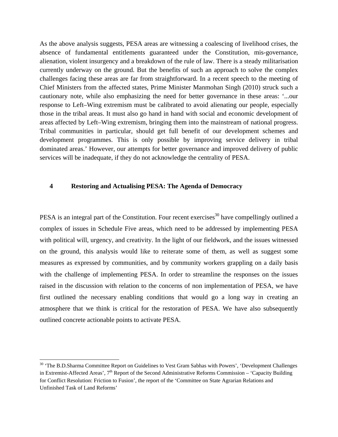As the above analysis suggests, PESA areas are witnessing a coalescing of livelihood crises, the absence of fundamental entitlements guaranteed under the Constitution, mis-governance, alienation, violent insurgency and a breakdown of the rule of law. There is a steady militarisation currently underway on the ground. But the benefits of such an approach to solve the complex challenges facing these areas are far from straightforward. In a recent speech to the meeting of Chief Ministers from the affected states, Prime Minister Manmohan Singh (2010) struck such a cautionary note, while also emphasizing the need for better governance in these areas: '...our response to Left–Wing extremism must be calibrated to avoid alienating our people, especially those in the tribal areas. It must also go hand in hand with social and economic development of areas affected by Left–Wing extremism, bringing them into the mainstream of national progress. Tribal communities in particular, should get full benefit of our development schemes and development programmes. This is only possible by improving service delivery in tribal dominated areas.' However, our attempts for better governance and improved delivery of public services will be inadequate, if they do not acknowledge the centrality of PESA.

#### **4 Restoring and Actualising PESA: The Agenda of Democracy**

PESA is an integral part of the Constitution. Four recent exercises<sup>30</sup> have compellingly outlined a complex of issues in Schedule Five areas, which need to be addressed by implementing PESA with political will, urgency, and creativity. In the light of our fieldwork, and the issues witnessed on the ground, this analysis would like to reiterate some of them, as well as suggest some measures as expressed by communities, and by community workers grappling on a daily basis with the challenge of implementing PESA. In order to streamline the responses on the issues raised in the discussion with relation to the concerns of non implementation of PESA, we have first outlined the necessary enabling conditions that would go a long way in creating an atmosphere that we think is critical for the restoration of PESA. We have also subsequently outlined concrete actionable points to activate PESA.

<sup>&</sup>lt;sup>30</sup> 'The B.D.Sharma Committee Report on Guidelines to Vest Gram Sabhas with Powers', 'Development Challenges in Extremist-Affected Areas', 7<sup>th</sup> Report of the Second Administrative Reforms Commission – 'Capacity Building for Conflict Resolution: Friction to Fusion', the report of the 'Committee on State Agrarian Relations and Unfinished Task of Land Reforms'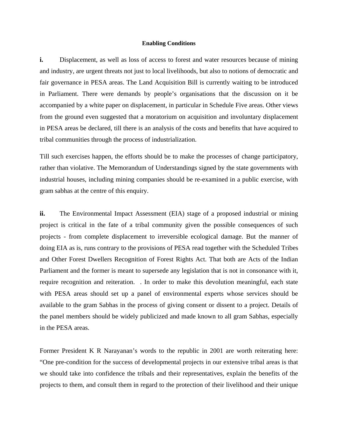#### **Enabling Conditions**

**i.** Displacement, as well as loss of access to forest and water resources because of mining and industry, are urgent threats not just to local livelihoods, but also to notions of democratic and fair governance in PESA areas. The Land Acquisition Bill is currently waiting to be introduced in Parliament. There were demands by people's organisations that the discussion on it be accompanied by a white paper on displacement, in particular in Schedule Five areas. Other views from the ground even suggested that a moratorium on acquisition and involuntary displacement in PESA areas be declared, till there is an analysis of the costs and benefits that have acquired to tribal communities through the process of industrialization.

Till such exercises happen, the efforts should be to make the processes of change participatory, rather than violative. The Memorandum of Understandings signed by the state governments with industrial houses, including mining companies should be re-examined in a public exercise, with gram sabhas at the centre of this enquiry.

**ii.** The Environmental Impact Assessment (EIA) stage of a proposed industrial or mining project is critical in the fate of a tribal community given the possible consequences of such projects - from complete displacement to irreversible ecological damage. But the manner of doing EIA as is, runs contrary to the provisions of PESA read together with the Scheduled Tribes and Other Forest Dwellers Recognition of Forest Rights Act. That both are Acts of the Indian Parliament and the former is meant to supersede any legislation that is not in consonance with it, require recognition and reiteration. . In order to make this devolution meaningful, each state with PESA areas should set up a panel of environmental experts whose services should be available to the gram Sabhas in the process of giving consent or dissent to a project. Details of the panel members should be widely publicized and made known to all gram Sabhas, especially in the PESA areas.

Former President K R Narayanan's words to the republic in 2001 are worth reiterating here: "One pre-condition for the success of developmental projects in our extensive tribal areas is that we should take into confidence the tribals and their representatives, explain the benefits of the projects to them, and consult them in regard to the protection of their livelihood and their unique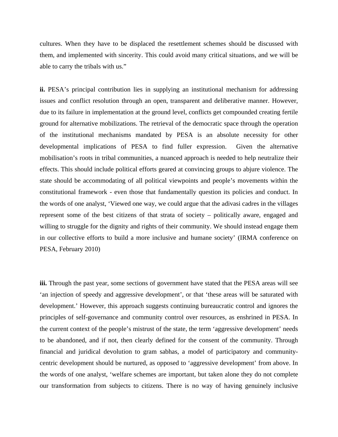cultures. When they have to be displaced the resettlement schemes should be discussed with them, and implemented with sincerity. This could avoid many critical situations, and we will be able to carry the tribals with us."

**ii.** PESA's principal contribution lies in supplying an institutional mechanism for addressing issues and conflict resolution through an open, transparent and deliberative manner. However, due to its failure in implementation at the ground level, conflicts get compounded creating fertile ground for alternative mobilizations. The retrieval of the democratic space through the operation of the institutional mechanisms mandated by PESA is an absolute necessity for other developmental implications of PESA to find fuller expression. Given the alternative mobilisation's roots in tribal communities, a nuanced approach is needed to help neutralize their effects. This should include political efforts geared at convincing groups to abjure violence. The state should be accommodating of all political viewpoints and people's movements within the constitutional framework - even those that fundamentally question its policies and conduct. In the words of one analyst, 'Viewed one way, we could argue that the adivasi cadres in the villages represent some of the best citizens of that strata of society – politically aware, engaged and willing to struggle for the dignity and rights of their community. We should instead engage them in our collective efforts to build a more inclusive and humane society' (IRMA conference on PESA, February 2010)

**iii.** Through the past year, some sections of government have stated that the PESA areas will see 'an injection of speedy and aggressive development', or that 'these areas will be saturated with development.' However, this approach suggests continuing bureaucratic control and ignores the principles of self-governance and community control over resources, as enshrined in PESA. In the current context of the people's mistrust of the state, the term 'aggressive development' needs to be abandoned, and if not, then clearly defined for the consent of the community. Through financial and juridical devolution to gram sabhas, a model of participatory and communitycentric development should be nurtured, as opposed to 'aggressive development' from above. In the words of one analyst, 'welfare schemes are important, but taken alone they do not complete our transformation from subjects to citizens. There is no way of having genuinely inclusive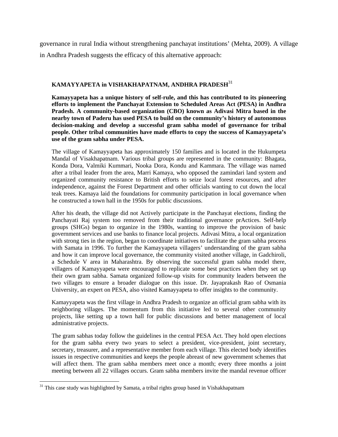governance in rural India without strengthening panchayat institutions' (Mehta, 2009). A village in Andhra Pradesh suggests the efficacy of this alternative approach:

#### **KAMAYYAPETA in VISHAKHAPATNAM, ANDHRA PRADESH**<sup>31</sup>

**Kamayyapeta has a unique history of self-rule, and this has contributed to its pioneering efforts to implement the Panchayat Extension to Scheduled Areas Act (PESA) in Andhra Pradesh. A community-based organization (CBO) known as Adivasi Mitra based in the nearby town of Paderu has used PESA to build on the community's history of autonomous decision-making and develop a successful gram sabha model of governance for tribal people. Other tribal communities have made efforts to copy the success of Kamayyapeta's use of the gram sabha under PESA.** 

The village of Kamayyapeta has approximately 150 families and is located in the Hukumpeta Mandal of Visakhapatnam. Various tribal groups are represented in the community: Bhagata, Konda Dora, Valmiki Kummari, Nooka Dora, Kondu and Kammara. The village was named after a tribal leader from the area, Marri Kamaya, who opposed the zamindari land system and organized community resistance to British efforts to seize local forest resources, and after independence, against the Forest Department and other officials wanting to cut down the local teak trees. Kamaya laid the foundations for community participation in local governance when he constructed a town hall in the 1950s for public discussions.

After his death, the village did not Actively participate in the Panchayat elections, finding the Panchayati Raj system too removed from their traditional governance prActices. Self-help groups (SHGs) began to organize in the 1980s, wanting to improve the provision of basic government services and use banks to finance local projects. Adivasi Mitra, a local organization with strong ties in the region, began to coordinate initiatives to facilitate the gram sabha process with Samata in 1996. To further the Kamayyapeta villagers' understanding of the gram sabha and how it can improve local governance, the community visited another village, in Gadchiroli, a Schedule V area in Maharashtra. By observing the successful gram sabha model there, villagers of Kamayyapeta were encouraged to replicate some best practices when they set up their own gram sabha. Samata organized follow-up visits for community leaders between the two villages to ensure a broader dialogue on this issue. Dr. Jayaprakash Rao of Osmania University, an expert on PESA, also visited Kamayyapeta to offer insights to the community.

Kamayyapeta was the first village in Andhra Pradesh to organize an official gram sabha with its neighboring villages. The momentum from this initiative led to several other community projects, like setting up a town hall for public discussions and better management of local administrative projects.

The gram sabhas today follow the guidelines in the central PESA Act. They hold open elections for the gram sabha every two years to select a president, vice-president, joint secretary, secretary, treasurer, and a representative member from each village. This elected body identifies issues in respective communities and keeps the people abreast of new government schemes that will affect them. The gram sabha members meet once a month; every three months a joint meeting between all 22 villages occurs. Gram sabha members invite the mandal revenue officer

  $31$  This case study was highlighted by Samata, a tribal rights group based in Vishakhapatnam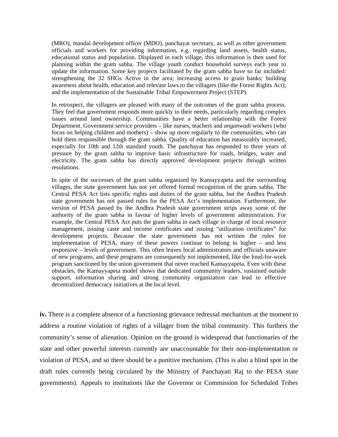(MRO), mandal development officer (MDO), panchayat secretary, as well as other government officials and workers for providing information, e.g. regarding land assets, health status, educational status and population. Displayed in each village, this information is then used for planning within the gram sabha. The village youth conduct household surveys each year to update the information. Some key projects facilitated by the gram sabha have so far included: strengthening the 32 SHGs Active in the area; increasing access to grain banks; building awareness about health, education and relevant laws to the villagers (like the Forest Rights Act); and the implementation of the Sustainable Tribal Empowerment Project (STEP).

In retrospect, the villagers are pleased with many of the outcomes of the gram sabha process. They feel that government responds more quickly to their needs, particularly regarding complex issues around land ownership. Communities have a better relationship with the Forest Department. Government service providers – like nurses, teachers and *anganwadi* workers (who focus on helping children and mothers) – show up more regularly to the communities, who can hold them responsible through the gram sabha. Quality of education has measurably increased, especially for 10th and 12th standard youth. The panchayat has responded to three years of pressure by the gram sabha to improve basic infrastructure for roads, bridges, water and electricity. The gram sabha has directly approved development projects through written resolutions.

In spite of the successes of the gram sabha organized by Kamayyapeta and the surrounding villages, the state government has not yet offered formal recognition of the gram sabha. The Central PESA Act lists specific rights and duties of the gram sabha, but the Andhra Pradesh state government has not passed rules for the PESA Act's implementation. Furthermore, the version of PESA passed by the Andhra Pradesh state government strips away some of the authority of the gram sabha in favour of higher levels of government administration. For example, the Central PESA Act puts the gram sabha in each village in charge of local resource management, issuing caste and income certificates and issuing "utilization certificates" for development projects. Because the state government has not written the rules for implementation of PESA, many of these powers continue to belong to higher – and less responsive – levels of government. This often leaves local administrators and officials unaware of new programs, and these programs are consequently not implemented, like the food-for-work program sanctioned by the union government that never reached Kamayyapeta. Even with these obstacles, the Kamayyapeta model shows that dedicated community leaders, sustained outside support, information sharing and strong community organization can lead to effective decentralized democracy initiatives at the local level.

**iv.** There is a complete absence of a functioning grievance redressal mechanism at the moment to address a routine violation of rights of a villager from the tribal community. This furthers the community's sense of alienation. Opinion on the ground is widespread that functionaries of the state and other powerful interests currently are unaccountable for their non-implementation or violation of PESA, and so there should be a punitive mechanism. (This is also a blind spot in the draft rules currently being circulated by the Ministry of Panchayati Raj to the PESA state governments). Appeals to institutions like the Governor or Commission for Scheduled Tribes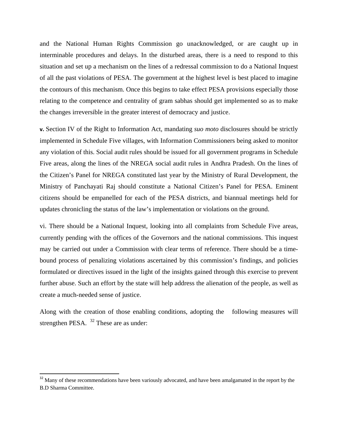and the National Human Rights Commission go unacknowledged, or are caught up in interminable procedures and delays. In the disturbed areas, there is a need to respond to this situation and set up a mechanism on the lines of a redressal commission to do a National Inquest of all the past violations of PESA. The government at the highest level is best placed to imagine the contours of this mechanism. Once this begins to take effect PESA provisions especially those relating to the competence and centrality of gram sabhas should get implemented so as to make the changes irreversible in the greater interest of democracy and justice.

**v.** Section IV of the Right to Information Act, mandating *suo moto* disclosures should be strictly implemented in Schedule Five villages, with Information Commissioners being asked to monitor any violation of this. Social audit rules should be issued for all government programs in Schedule Five areas, along the lines of the NREGA social audit rules in Andhra Pradesh. On the lines of the Citizen's Panel for NREGA constituted last year by the Ministry of Rural Development, the Ministry of Panchayati Raj should constitute a National Citizen's Panel for PESA. Eminent citizens should be empanelled for each of the PESA districts, and biannual meetings held for updates chronicling the status of the law's implementation or violations on the ground.

vi. There should be a National Inquest, looking into all complaints from Schedule Five areas, currently pending with the offices of the Governors and the national commissions. This inquest may be carried out under a Commission with clear terms of reference. There should be a timebound process of penalizing violations ascertained by this commission's findings, and policies formulated or directives issued in the light of the insights gained through this exercise to prevent further abuse. Such an effort by the state will help address the alienation of the people, as well as create a much-needed sense of justice.

Along with the creation of those enabling conditions, adopting the following measures will strengthen PESA. <sup>32</sup> These are as under:

<sup>&</sup>lt;sup>32</sup> Many of these recommendations have been variously advocated, and have been amalgamated in the report by the B.D Sharma Committee.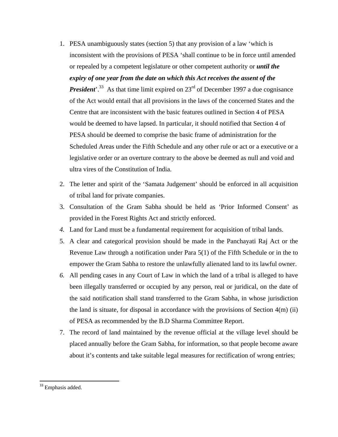- 1. PESA unambiguously states (section 5) that any provision of a law 'which is inconsistent with the provisions of PESA 'shall continue to be in force until amended or repealed by a competent legislature or other competent authority or *until the expiry of one year from the date on which this Act receives the assent of the President*<sup>'.33</sup> As that time limit expired on 23<sup>rd</sup> of December 1997 a due cognisance of the Act would entail that all provisions in the laws of the concerned States and the Centre that are inconsistent with the basic features outlined in Section 4 of PESA would be deemed to have lapsed. In particular, it should notified that Section 4 of PESA should be deemed to comprise the basic frame of administration for the Scheduled Areas under the Fifth Schedule and any other rule or act or a executive or a legislative order or an overture contrary to the above be deemed as null and void and ultra vires of the Constitution of India.
- 2. The letter and spirit of the 'Samata Judgement' should be enforced in all acquisition of tribal land for private companies.
- 3. Consultation of the Gram Sabha should be held as 'Prior Informed Consent' as provided in the Forest Rights Act and strictly enforced.
- *4.* Land for Land must be a fundamental requirement for acquisition of tribal lands.
- 5. A clear and categorical provision should be made in the Panchayati Raj Act or the Revenue Law through a notification under Para 5(1) of the Fifth Schedule or in the to empower the Gram Sabha to restore the unlawfully alienated land to its lawful owner.
- *6.* All pending cases in any Court of Law in which the land of a tribal is alleged to have been illegally transferred or occupied by any person, real or juridical, on the date of the said notification shall stand transferred to the Gram Sabha, in whose jurisdiction the land is situate, for disposal in accordance with the provisions of Section  $4(m)$  (ii) of PESA as recommended by the B.D Sharma Committee Report.
- 7. The record of land maintained by the revenue official at the village level should be placed annually before the Gram Sabha, for information, so that people become aware about it's contents and take suitable legal measures for rectification of wrong entries;

<sup>&</sup>lt;sup>33</sup> Emphasis added.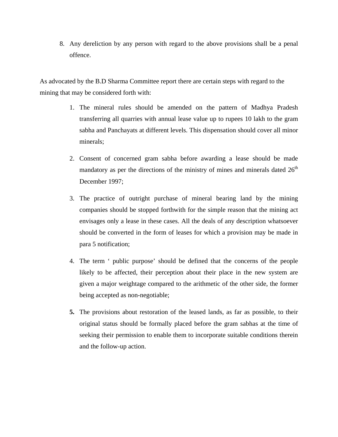8. Any dereliction by any person with regard to the above provisions shall be a penal offence.

As advocated by the B.D Sharma Committee report there are certain steps with regard to the mining that may be considered forth with:

- 1. The mineral rules should be amended on the pattern of Madhya Pradesh transferring all quarries with annual lease value up to rupees 10 lakh to the gram sabha and Panchayats at different levels. This dispensation should cover all minor minerals;
- 2. Consent of concerned gram sabha before awarding a lease should be made mandatory as per the directions of the ministry of mines and minerals dated  $26<sup>th</sup>$ December 1997;
- 3. The practice of outright purchase of mineral bearing land by the mining companies should be stopped forthwith for the simple reason that the mining act envisages only a lease in these cases. All the deals of any description whatsoever should be converted in the form of leases for which a provision may be made in para 5 notification;
- 4. The term ' public purpose' should be defined that the concerns of the people likely to be affected, their perception about their place in the new system are given a major weightage compared to the arithmetic of the other side, the former being accepted as non-negotiable;
- **5.** The provisions about restoration of the leased lands, as far as possible, to their original status should be formally placed before the gram sabhas at the time of seeking their permission to enable them to incorporate suitable conditions therein and the follow-up action.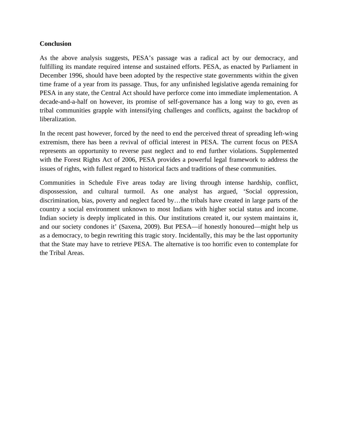## **Conclusion**

As the above analysis suggests, PESA's passage was a radical act by our democracy, and fulfilling its mandate required intense and sustained efforts. PESA, as enacted by Parliament in December 1996, should have been adopted by the respective state governments within the given time frame of a year from its passage. Thus, for any unfinished legislative agenda remaining for PESA in any state, the Central Act should have perforce come into immediate implementation. A decade-and-a-half on however, its promise of self-governance has a long way to go, even as tribal communities grapple with intensifying challenges and conflicts, against the backdrop of liberalization.

In the recent past however, forced by the need to end the perceived threat of spreading left-wing extremism, there has been a revival of official interest in PESA. The current focus on PESA represents an opportunity to reverse past neglect and to end further violations. Supplemented with the Forest Rights Act of 2006, PESA provides a powerful legal framework to address the issues of rights, with fullest regard to historical facts and traditions of these communities.

Communities in Schedule Five areas today are living through intense hardship, conflict, dispossession, and cultural turmoil. As one analyst has argued, 'Social oppression, discrimination, bias, poverty and neglect faced by…the tribals have created in large parts of the country a social environment unknown to most Indians with higher social status and income. Indian society is deeply implicated in this. Our institutions created it, our system maintains it, and our society condones it' (Saxena, 2009). But PESA—if honestly honoured—might help us as a democracy, to begin rewriting this tragic story. Incidentally, this may be the last opportunity that the State may have to retrieve PESA. The alternative is too horrific even to contemplate for the Tribal Areas.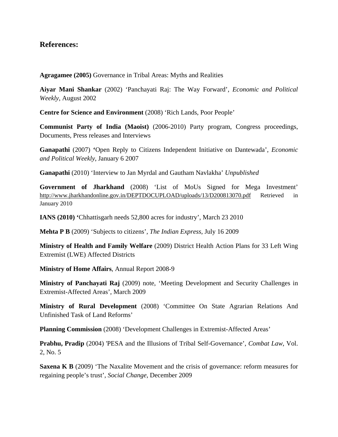# **References:**

**Agragamee (2005)** Governance in Tribal Areas: Myths and Realities

**Aiyar Mani Shankar** (2002) 'Panchayati Raj: The Way Forward', *Economic and Political Weekly*, August 2002

**Centre for Science and Environment** (2008) 'Rich Lands, Poor People'

**Communist Party of India (Maoist)** (2006-2010) Party program, Congress proceedings, Documents, Press releases and Interviews

**Ganapathi** (2007) **'**Open Reply to Citizens Independent Initiative on Dantewada', *Economic and Political Weekly*, January 6 2007

**Ganapathi** (2010) 'Interview to Jan Myrdal and Gautham Navlakha' *Unpublished*

**Government of Jharkhand** (2008) 'List of MoUs Signed for Mega Investment' http://www.jharkhandonline.gov.in/DEPTDOCUPLOAD/uploads/13/D200813070.pdf Retrieved in January 2010

**IANS (2010) '**Chhattisgarh needs 52,800 acres for industry', March 23 2010

**Mehta P B** (2009) 'Subjects to citizens', *The Indian Express*, July 16 2009

**Ministry of Health and Family Welfare** (2009) District Health Action Plans for 33 Left Wing Extremist (LWE) Affected Districts

**Ministry of Home Affairs**, Annual Report 2008-9

**Ministry of Panchayati Raj** (2009) note, 'Meeting Development and Security Challenges in Extremist-Affected Areas', March 2009

**Ministry of Rural Development** (2008) 'Committee On State Agrarian Relations And Unfinished Task of Land Reforms'

**Planning Commission** (2008) 'Development Challenges in Extremist-Affected Areas'

**Prabhu, Pradip** (2004) 'PESA and the Illusions of Tribal Self-Governance', *Combat Law*, Vol. 2, No. 5

**Saxena K B** (2009) 'The Naxalite Movement and the crisis of governance: reform measures for regaining people's trust', *Social Change*, December 2009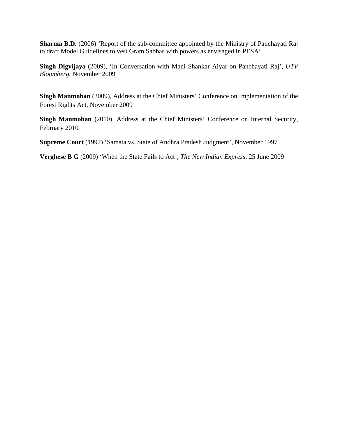**Sharma B.D**. (2006) 'Report of the sub-committee appointed by the Ministry of Panchayati Raj to draft Model Guidelines to vest Gram Sabhas with powers as envisaged in PESA'

**Singh Digvijaya** (2009), 'In Conversation with Mani Shankar Aiyar on Panchayati Raj', *UTV Bloomberg*, November 2009

**Singh Manmohan** (2009), Address at the Chief Ministers' Conference on Implementation of the Forest Rights Act, November 2009

**Singh Manmohan** (2010), Address at the Chief Ministers' Conference on Internal Security, February 2010

**Supreme Court** (1997) 'Samata vs. State of Andhra Pradesh Judgment', November 1997

**Verghese B G** (2009) 'When the State Fails to Act', *The New Indian Express*, 25 June 2009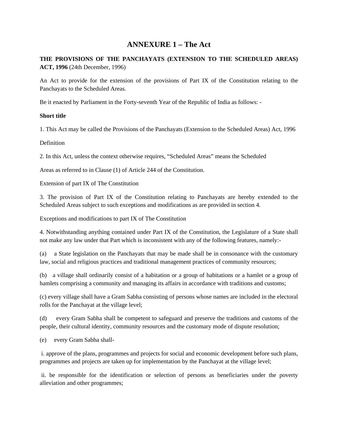# **ANNEXURE 1 – The Act**

## **THE PROVISIONS OF THE PANCHAYATS (EXTENSION TO THE SCHEDULED AREAS) ACT, 1996** (24th December, 1996)

An Act to provide for the extension of the provisions of Part IX of the Constitution relating to the Panchayats to the Scheduled Areas.

Be it enacted by Parliament in the Forty-seventh Year of the Republic of India as follows: -

#### **Short title**

1. This Act may be called the Provisions of the Panchayats (Extension to the Scheduled Areas) Act, 1996

**Definition** 

2. In this Act, unless the context otherwise requires, "Scheduled Areas" means the Scheduled

Areas as referred to in Clause (1) of Article 244 of the Constitution.

Extension of part IX of The Constitution

3. The provision of Part IX of the Constitution relating to Panchayats are hereby extended to the Scheduled Areas subject to such exceptions and modifications as are provided in section 4.

Exceptions and modifications to part IX of The Constitution

4. Notwithstanding anything contained under Part IX of the Constitution, the Legislature of a State shall not make any law under that Part which is inconsistent with any of the following features, namely:-

(a) a State legislation on the Panchayats that may be made shall be in consonance with the customary law, social and religious practices and traditional management practices of community resources;

(b) a village shall ordinarily consist of a habitation or a group of habitations or a hamlet or a group of hamlets comprising a community and managing its affairs in accordance with traditions and customs;

(c) every village shall have a Gram Sabha consisting of persons whose names are included in the electoral rolls for the Panchayat at the village level;

(d) every Gram Sabha shall be competent to safeguard and preserve the traditions and customs of the people, their cultural identity, community resources and the customary mode of dispute resolution;

(e) every Gram Sabha shall-

 i. approve of the plans, programmes and projects for social and economic development before such plans, programmes and projects are taken up for implementation by the Panchayat at the village level;

 ii. be responsible for the identification or selection of persons as beneficiaries under the poverty alleviation and other programmes;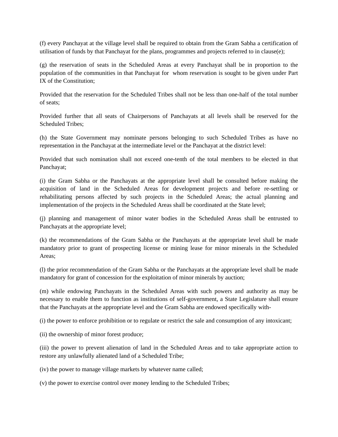(f) every Panchayat at the village level shall be required to obtain from the Gram Sabha a certification of utilisation of funds by that Panchayat for the plans, programmes and projects referred to in clause(e);

(g) the reservation of seats in the Scheduled Areas at every Panchayat shall be in proportion to the population of the communities in that Panchayat for whom reservation is sought to be given under Part IX of the Constitution;

Provided that the reservation for the Scheduled Tribes shall not be less than one-half of the total number of seats;

Provided further that all seats of Chairpersons of Panchayats at all levels shall be reserved for the Scheduled Tribes;

(h) the State Government may nominate persons belonging to such Scheduled Tribes as have no representation in the Panchayat at the intermediate level or the Panchayat at the district level:

Provided that such nomination shall not exceed one-tenth of the total members to be elected in that Panchayat;

(i) the Gram Sabha or the Panchayats at the appropriate level shall be consulted before making the acquisition of land in the Scheduled Areas for development projects and before re-settling or rehabilitating persons affected by such projects in the Scheduled Areas; the actual planning and implementation of the projects in the Scheduled Areas shall be coordinated at the State level;

(j) planning and management of minor water bodies in the Scheduled Areas shall be entrusted to Panchayats at the appropriate level;

(k) the recommendations of the Gram Sabha or the Panchayats at the appropriate level shall be made mandatory prior to grant of prospecting license or mining lease for minor minerals in the Scheduled Areas;

(l) the prior recommendation of the Gram Sabha or the Panchayats at the appropriate level shall be made mandatory for grant of concession for the exploitation of minor minerals by auction;

(m) while endowing Panchayats in the Scheduled Areas with such powers and authority as may be necessary to enable them to function as institutions of self-government, a State Legislature shall ensure that the Panchayats at the appropriate level and the Gram Sabha are endowed specifically with-

(i) the power to enforce prohibition or to regulate or restrict the sale and consumption of any intoxicant;

(ii) the ownership of minor forest produce;

(iii) the power to prevent alienation of land in the Scheduled Areas and to take appropriate action to restore any unlawfully alienated land of a Scheduled Tribe;

(iv) the power to manage village markets by whatever name called;

(v) the power to exercise control over money lending to the Scheduled Tribes;